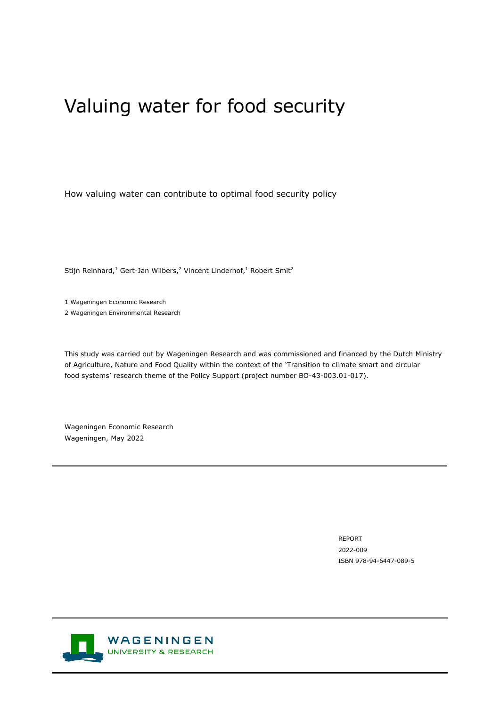# Valuing water for food security

How valuing water can contribute to optimal food security policy

Stijn Reinhard,<sup>1</sup> Gert-Jan Wilbers,<sup>2</sup> Vincent Linderhof,<sup>1</sup> Robert Smit<sup>2</sup>

1 Wageningen Economic Research 2 Wageningen Environmental Research

This study was carried out by Wageningen Research and was commissioned and financed by the Dutch Ministry of Agriculture, Nature and Food Quality within the context of the 'Transition to climate smart and circular food systems' research theme of the Policy Support (project number BO-43-003.01-017).

Wageningen Economic Research Wageningen, May 2022

> REPORT 2022-009 ISBN 978-94-6447-089-5

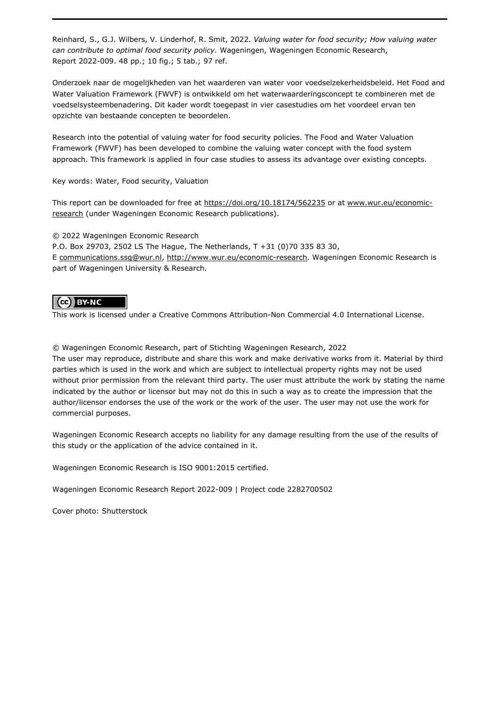Reinhard, S., G.J. Wilbers, V. Linderhof, R. Smit, 2022. *Valuing water for food security; How valuing water can contribute to optimal food security policy.* Wageningen, Wageningen Economic Research, Report 2022-009. 48 pp.; 10 fig.; 5 tab.; 97 ref.

Onderzoek naar de mogelijkheden van het waarderen van water voor voedselzekerheidsbeleid. Het Food and Water Valuation Framework (FWVF) is ontwikkeld om het waterwaarderingsconcept te combineren met de voedselsysteembenadering. Dit kader wordt toegepast in vier casestudies om het voordeel ervan ten opzichte van bestaande concepten te beoordelen.

Research into the potential of valuing water for food security policies. The Food and Water Valuation Framework (FWVF) has been developed to combine the valuing water concept with the food system approach. This framework is applied in four case studies to assess its advantage over existing concepts.

Key words: Water, Food security, Valuation

This report can be downloaded for free at<https://doi.org/10.18174/562235> or at [www.wur.eu/economic](http://www.wur.eu/economic-research)[research](http://www.wur.eu/economic-research) (under Wageningen Economic Research publications).

© 2022 Wageningen Economic Research

P.O. Box 29703, 2502 LS The Hague, The Netherlands, T +31 (0)70 335 83 30,

E [communications.ssg@wur.nl,](file:///C:/Users/tdekleijn/Documents/BASIS%20WAGENINGEN%20UR%20SEPTEMBER%202016/SSG/Economic%20Research/communications.ssg@wur.nl) [http://www.wur.eu/economic-research.](http://www.wur.eu/economic-research) Wageningen Economic Research is part of Wageningen University & Research.

## (cc) BY-NC

This work is licensed under a Creative Commons Attribution-Non Commercial 4.0 International License.

© Wageningen Economic Research, part of Stichting Wageningen Research, 2022 The user may reproduce, distribute and share this work and make derivative works from it. Material by third parties which is used in the work and which are subject to intellectual property rights may not be used without prior permission from the relevant third party. The user must attribute the work by stating the name indicated by the author or licensor but may not do this in such a way as to create the impression that the author/licensor endorses the use of the work or the work of the user. The user may not use the work for commercial purposes.

Wageningen Economic Research accepts no liability for any damage resulting from the use of the results of this study or the application of the advice contained in it.

Wageningen Economic Research is ISO 9001:2015 certified.

Wageningen Economic Research Report 2022-009 | Project code 2282700502

Cover photo: Shutterstock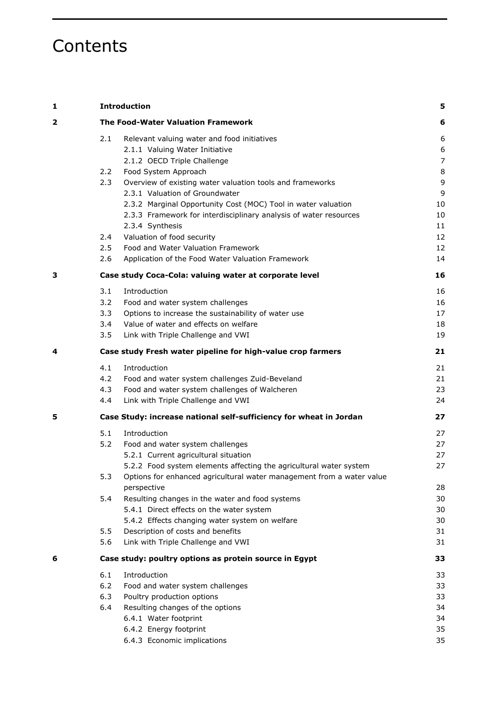# **Contents**

| 1 | <b>Introduction</b>                       |                                                                       | 5              |  |
|---|-------------------------------------------|-----------------------------------------------------------------------|----------------|--|
| 2 | <b>The Food-Water Valuation Framework</b> |                                                                       |                |  |
|   | 2.1                                       | Relevant valuing water and food initiatives                           | 6              |  |
|   |                                           | 2.1.1 Valuing Water Initiative                                        | 6              |  |
|   |                                           | 2.1.2 OECD Triple Challenge                                           | $\overline{7}$ |  |
|   | 2.2                                       | Food System Approach                                                  | 8              |  |
|   | 2.3                                       | Overview of existing water valuation tools and frameworks             | 9              |  |
|   |                                           | 2.3.1 Valuation of Groundwater                                        | 9              |  |
|   |                                           | 2.3.2 Marginal Opportunity Cost (MOC) Tool in water valuation         | 10             |  |
|   |                                           | 2.3.3 Framework for interdisciplinary analysis of water resources     | 10             |  |
|   |                                           | 2.3.4 Synthesis                                                       | 11             |  |
|   | 2.4                                       | Valuation of food security                                            | 12             |  |
|   | 2.5                                       | Food and Water Valuation Framework                                    | 12             |  |
|   | 2.6                                       | Application of the Food Water Valuation Framework                     | 14             |  |
| З |                                           | Case study Coca-Cola: valuing water at corporate level                | 16             |  |
|   | 3.1                                       | Introduction                                                          | 16             |  |
|   | 3.2                                       | Food and water system challenges                                      | 16             |  |
|   | 3.3                                       | Options to increase the sustainability of water use                   | 17             |  |
|   | 3.4                                       | Value of water and effects on welfare                                 | 18             |  |
|   | 3.5                                       | Link with Triple Challenge and VWI                                    | 19             |  |
| 4 |                                           | Case study Fresh water pipeline for high-value crop farmers           | 21             |  |
|   | 4.1                                       | Introduction                                                          | 21             |  |
|   | 4.2                                       | Food and water system challenges Zuid-Beveland                        | 21             |  |
|   | 4.3                                       | Food and water system challenges of Walcheren                         | 23             |  |
|   | 4.4                                       | Link with Triple Challenge and VWI                                    | 24             |  |
| 5 |                                           | Case Study: increase national self-sufficiency for wheat in Jordan    | 27             |  |
|   | 5.1                                       | Introduction                                                          | 27             |  |
|   | 5.2                                       | Food and water system challenges                                      | 27             |  |
|   |                                           | 5.2.1 Current agricultural situation                                  | 27             |  |
|   |                                           | 5.2.2 Food system elements affecting the agricultural water system    | 27             |  |
|   | 5.3                                       | Options for enhanced agricultural water management from a water value |                |  |
|   |                                           | perspective                                                           | 28             |  |
|   | 5.4                                       | Resulting changes in the water and food systems                       | 30             |  |
|   |                                           | 5.4.1 Direct effects on the water system                              | 30             |  |
|   |                                           | 5.4.2 Effects changing water system on welfare                        | 30             |  |
|   | 5.5                                       | Description of costs and benefits                                     | 31             |  |
|   | 5.6                                       | Link with Triple Challenge and VWI                                    | 31             |  |
| 6 |                                           | Case study: poultry options as protein source in Egypt                | 33             |  |
|   | 6.1                                       | Introduction                                                          | 33             |  |
|   | 6.2                                       | Food and water system challenges                                      | 33             |  |
|   | 6.3                                       | Poultry production options                                            | 33             |  |
|   | 6.4                                       | Resulting changes of the options                                      | 34             |  |
|   |                                           | 6.4.1 Water footprint                                                 | 34             |  |
|   |                                           | 6.4.2 Energy footprint                                                | 35             |  |
|   |                                           | 6.4.3 Economic implications                                           | 35             |  |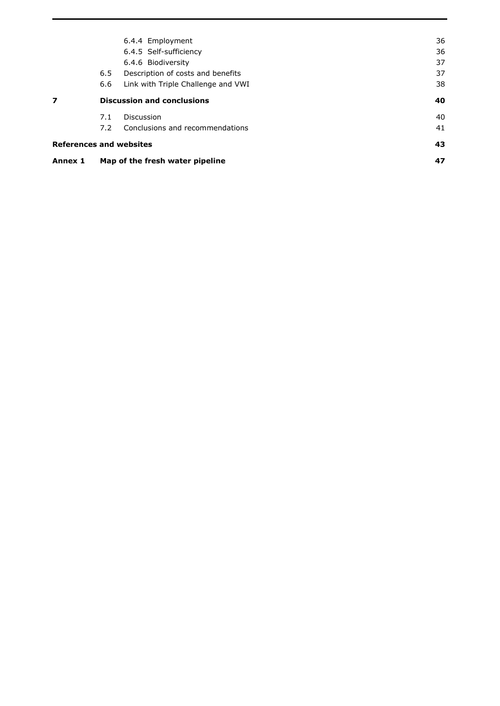| Annex 1                        |     | Map of the fresh water pipeline    | 47 |
|--------------------------------|-----|------------------------------------|----|
| <b>References and websites</b> |     |                                    | 43 |
|                                | 7.2 | Conclusions and recommendations    | 41 |
|                                | 7.1 | Discussion                         | 40 |
| 7                              |     | <b>Discussion and conclusions</b>  | 40 |
|                                | 6.6 | Link with Triple Challenge and VWI | 38 |
|                                | 6.5 | Description of costs and benefits  | 37 |
|                                |     | 6.4.6 Biodiversity                 | 37 |
|                                |     | 6.4.5 Self-sufficiency             | 36 |
|                                |     | 6.4.4 Employment                   | 36 |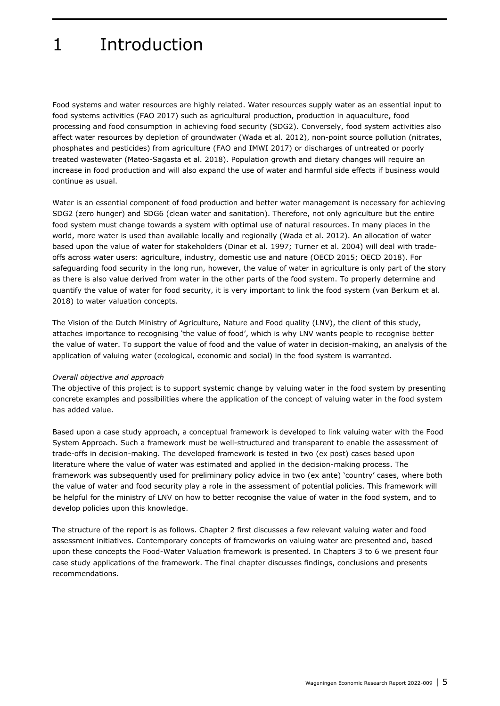# <span id="page-4-0"></span>1 Introduction

Food systems and water resources are highly related. Water resources supply water as an essential input to food systems activities (FAO 2017) such as agricultural production, production in aquaculture, food processing and food consumption in achieving food security (SDG2). Conversely, food system activities also affect water resources by depletion of groundwater (Wada et al. 2012), non-point source pollution (nitrates, phosphates and pesticides) from agriculture (FAO and IMWI 2017) or discharges of untreated or poorly treated wastewater (Mateo-Sagasta et al. 2018). Population growth and dietary changes will require an increase in food production and will also expand the use of water and harmful side effects if business would continue as usual.

Water is an essential component of food production and better water management is necessary for achieving SDG2 (zero hunger) and SDG6 (clean water and sanitation). Therefore, not only agriculture but the entire food system must change towards a system with optimal use of natural resources. In many places in the world, more water is used than available locally and regionally (Wada et al. 2012). An allocation of water based upon the value of water for stakeholders (Dinar et al. 1997; Turner et al. 2004) will deal with tradeoffs across water users: agriculture, industry, domestic use and nature (OECD 2015; OECD 2018). For safeguarding food security in the long run, however, the value of water in agriculture is only part of the story as there is also value derived from water in the other parts of the food system. To properly determine and quantify the value of water for food security, it is very important to link the food system (van Berkum et al. 2018) to water valuation concepts.

The Vision of the Dutch Ministry of Agriculture, Nature and Food quality (LNV), the client of this study, attaches importance to recognising 'the value of food', which is why LNV wants people to recognise better the value of water. To support the value of food and the value of water in decision-making, an analysis of the application of valuing water (ecological, economic and social) in the food system is warranted.

#### *Overall objective and approach*

The objective of this project is to support systemic change by valuing water in the food system by presenting concrete examples and possibilities where the application of the concept of valuing water in the food system has added value.

Based upon a case study approach, a conceptual framework is developed to link valuing water with the Food System Approach. Such a framework must be well-structured and transparent to enable the assessment of trade-offs in decision-making. The developed framework is tested in two (ex post) cases based upon literature where the value of water was estimated and applied in the decision-making process. The framework was subsequently used for preliminary policy advice in two (ex ante) 'country' cases, where both the value of water and food security play a role in the assessment of potential policies. This framework will be helpful for the ministry of LNV on how to better recognise the value of water in the food system, and to develop policies upon this knowledge.

The structure of the report is as follows. Chapter 2 first discusses a few relevant valuing water and food assessment initiatives. Contemporary concepts of frameworks on valuing water are presented and, based upon these concepts the Food-Water Valuation framework is presented. In Chapters 3 to 6 we present four case study applications of the framework. The final chapter discusses findings, conclusions and presents recommendations.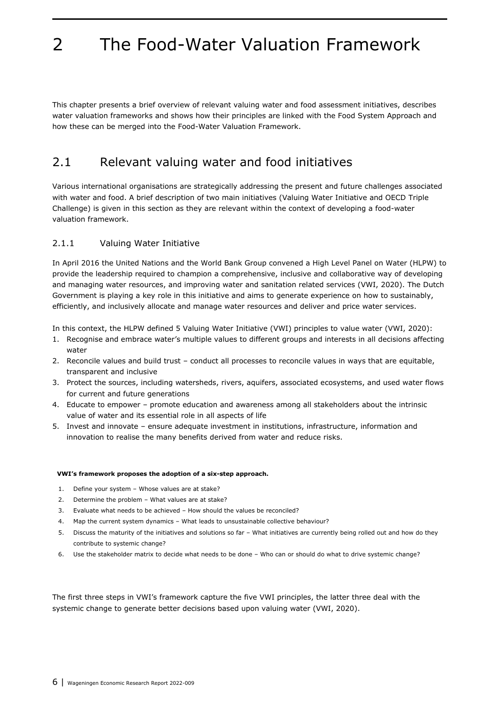# <span id="page-5-0"></span>2 The Food-Water Valuation Framework

This chapter presents a brief overview of relevant valuing water and food assessment initiatives, describes water valuation frameworks and shows how their principles are linked with the Food System Approach and how these can be merged into the Food-Water Valuation Framework.

## <span id="page-5-1"></span>2.1 Relevant valuing water and food initiatives

Various international organisations are strategically addressing the present and future challenges associated with water and food. A brief description of two main initiatives (Valuing Water Initiative and OECD Triple Challenge) is given in this section as they are relevant within the context of developing a food-water valuation framework.

## <span id="page-5-2"></span>2.1.1 Valuing Water Initiative

In April 2016 the United Nations and the World Bank Group convened a High Level Panel on Water (HLPW) to provide the leadership required to champion a comprehensive, inclusive and collaborative way of developing and managing water resources, and improving water and sanitation related services (VWI, 2020). The Dutch Government is playing a key role in this initiative and aims to generate experience on how to sustainably, efficiently, and inclusively allocate and manage water resources and deliver and price water services.

In this context, the HLPW defined 5 Valuing Water Initiative (VWI) principles to value water (VWI, 2020):

- 1. Recognise and embrace water's multiple values to different groups and interests in all decisions affecting water
- 2. Reconcile values and build trust conduct all processes to reconcile values in ways that are equitable, transparent and inclusive
- 3. Protect the sources, including watersheds, rivers, aquifers, associated ecosystems, and used water flows for current and future generations
- 4. Educate to empower promote education and awareness among all stakeholders about the intrinsic value of water and its essential role in all aspects of life
- 5. Invest and innovate ensure adequate investment in institutions, infrastructure, information and innovation to realise the many benefits derived from water and reduce risks.

#### **VWI's framework proposes the adoption of a six-step approach.**

- 1. Define your system Whose values are at stake?
- 2. Determine the problem What values are at stake?
- 3. Evaluate what needs to be achieved How should the values be reconciled?
- 4. Map the current system dynamics What leads to unsustainable collective behaviour?
- 5. Discuss the maturity of the initiatives and solutions so far What initiatives are currently being rolled out and how do they contribute to systemic change?
- 6. Use the stakeholder matrix to decide what needs to be done Who can or should do what to drive systemic change?

The first three steps in VWI's framework capture the five VWI principles, the latter three deal with the systemic change to generate better decisions based upon valuing water (VWI, 2020).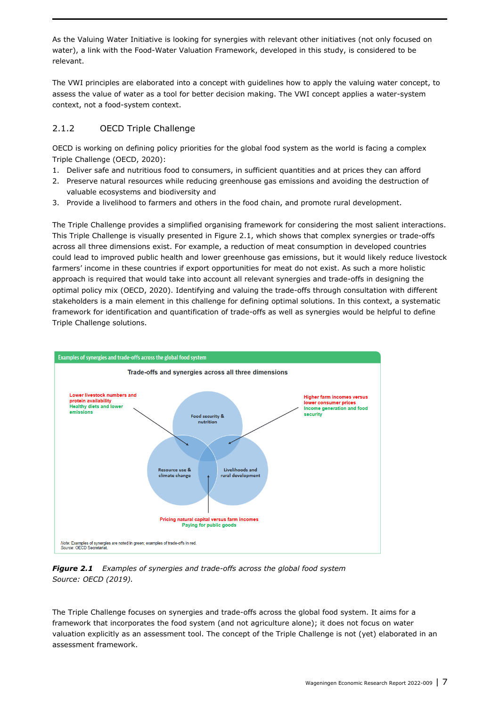As the Valuing Water Initiative is looking for synergies with relevant other initiatives (not only focused on water), a link with the Food-Water Valuation Framework, developed in this study, is considered to be relevant.

The VWI principles are elaborated into a concept with guidelines how to apply the valuing water concept, to assess the value of water as a tool for better decision making. The VWI concept applies a water-system context, not a food-system context.

### <span id="page-6-0"></span>2.1.2 OECD Triple Challenge

OECD is working on defining policy priorities for the global food system as the world is facing a complex Triple Challenge (OECD, 2020):

- 1. Deliver safe and nutritious food to consumers, in sufficient quantities and at prices they can afford
- 2. Preserve natural resources while reducing greenhouse gas emissions and avoiding the destruction of valuable ecosystems and biodiversity and
- 3. Provide a livelihood to farmers and others in the food chain, and promote rural development.

The Triple Challenge provides a simplified organising framework for considering the most salient interactions. This Triple Challenge is visually presented in Figure 2.1, which shows that complex synergies or trade-offs across all three dimensions exist. For example, a reduction of meat consumption in developed countries could lead to improved public health and lower greenhouse gas emissions, but it would likely reduce livestock farmers' income in these countries if export opportunities for meat do not exist. As such a more holistic approach is required that would take into account all relevant synergies and trade-offs in designing the optimal policy mix (OECD, 2020). Identifying and valuing the trade-offs through consultation with different stakeholders is a main element in this challenge for defining optimal solutions. In this context, a systematic framework for identification and quantification of trade-offs as well as synergies would be helpful to define Triple Challenge solutions.



*Figure 2.1 Examples of synergies and trade-offs across the global food system Source: OECD (2019).*

The Triple Challenge focuses on synergies and trade-offs across the global food system. It aims for a framework that incorporates the food system (and not agriculture alone); it does not focus on water valuation explicitly as an assessment tool. The concept of the Triple Challenge is not (yet) elaborated in an assessment framework.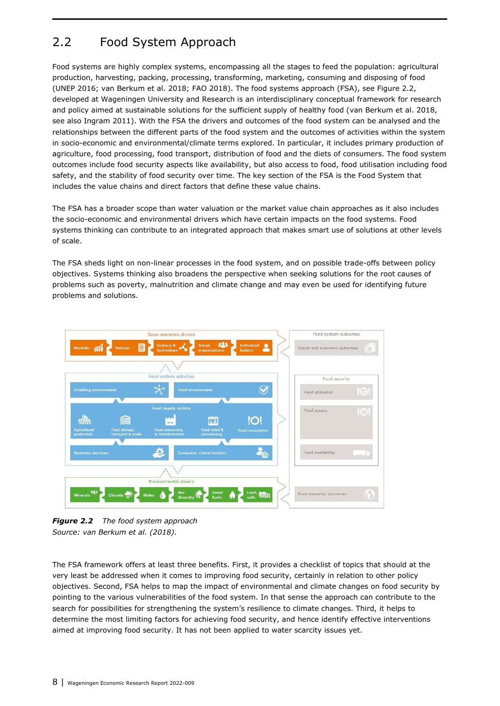# <span id="page-7-0"></span>2.2 Food System Approach

Food systems are highly complex systems, encompassing all the stages to feed the population: agricultural production, harvesting, packing, processing, transforming, marketing, consuming and disposing of food (UNEP 2016; van Berkum et al. 2018; FAO 2018). The food systems approach (FSA), see Figure 2.2, developed at Wageningen University and Research is an interdisciplinary conceptual framework for research and policy aimed at sustainable solutions for the sufficient supply of healthy food (van Berkum et al. 2018, see also Ingram 2011). With the FSA the drivers and outcomes of the food system can be analysed and the relationships between the different parts of the food system and the outcomes of activities within the system in socio-economic and environmental/climate terms explored. In particular, it includes primary production of agriculture, food processing, food transport, distribution of food and the diets of consumers. The food system outcomes include food security aspects like availability, but also access to food, food utilisation including food safety, and the stability of food security over time. The key section of the FSA is the Food System that includes the value chains and direct factors that define these value chains.

The FSA has a broader scope than water valuation or the market value chain approaches as it also includes the socio-economic and environmental drivers which have certain impacts on the food systems. Food systems thinking can contribute to an integrated approach that makes smart use of solutions at other levels of scale.

The FSA sheds light on non-linear processes in the food system, and on possible trade-offs between policy objectives. Systems thinking also broadens the perspective when seeking solutions for the root causes of problems such as poverty, malnutrition and climate change and may even be used for identifying future problems and solutions.



*Figure 2.2 The food system approach Source: van Berkum et al. (2018).*

The FSA framework offers at least three benefits. First, it provides a checklist of topics that should at the very least be addressed when it comes to improving food security, certainly in relation to other policy objectives. Second, FSA helps to map the impact of environmental and climate changes on food security by pointing to the various vulnerabilities of the food system. In that sense the approach can contribute to the search for possibilities for strengthening the system's resilience to climate changes. Third, it helps to determine the most limiting factors for achieving food security, and hence identify effective interventions aimed at improving food security. It has not been applied to water scarcity issues yet.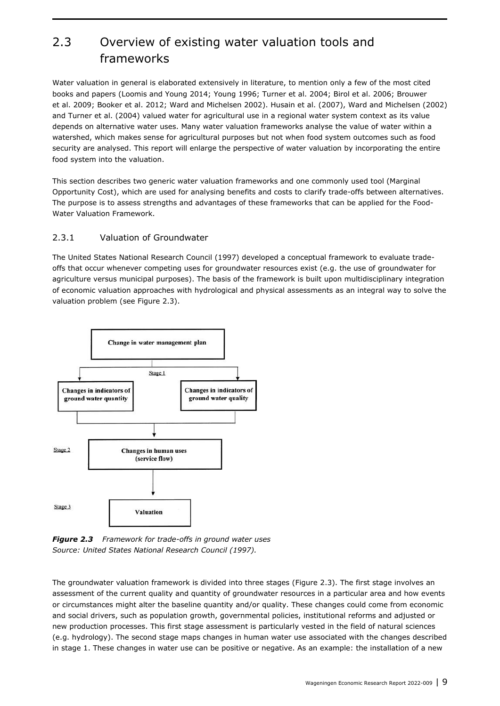# <span id="page-8-0"></span>2.3 Overview of existing water valuation tools and frameworks

Water valuation in general is elaborated extensively in literature, to mention only a few of the most cited books and papers (Loomis and Young 2014; Young 1996; Turner et al. 2004; Birol et al. 2006; Brouwer et al. 2009; Booker et al. 2012; Ward and Michelsen 2002). Husain et al. (2007), Ward and Michelsen (2002) and Turner et al. (2004) valued water for agricultural use in a regional water system context as its value depends on alternative water uses. Many water valuation frameworks analyse the value of water within a watershed, which makes sense for agricultural purposes but not when food system outcomes such as food security are analysed. This report will enlarge the perspective of water valuation by incorporating the entire food system into the valuation.

This section describes two generic water valuation frameworks and one commonly used tool (Marginal Opportunity Cost), which are used for analysing benefits and costs to clarify trade-offs between alternatives. The purpose is to assess strengths and advantages of these frameworks that can be applied for the Food-Water Valuation Framework.

## <span id="page-8-1"></span>2.3.1 Valuation of Groundwater

The United States National Research Council (1997) developed a conceptual framework to evaluate tradeoffs that occur whenever competing uses for groundwater resources exist (e.g. the use of groundwater for agriculture versus municipal purposes). The basis of the framework is built upon multidisciplinary integration of economic valuation approaches with hydrological and physical assessments as an integral way to solve the valuation problem (see Figure 2.3).



*Figure 2.3 Framework for trade-offs in ground water uses Source: United States National Research Council (1997).*

The groundwater valuation framework is divided into three stages (Figure 2.3). The first stage involves an assessment of the current quality and quantity of groundwater resources in a particular area and how events or circumstances might alter the baseline quantity and/or quality. These changes could come from economic and social drivers, such as population growth, governmental policies, institutional reforms and adjusted or new production processes. This first stage assessment is particularly vested in the field of natural sciences (e.g. hydrology). The second stage maps changes in human water use associated with the changes described in stage 1. These changes in water use can be positive or negative. As an example: the installation of a new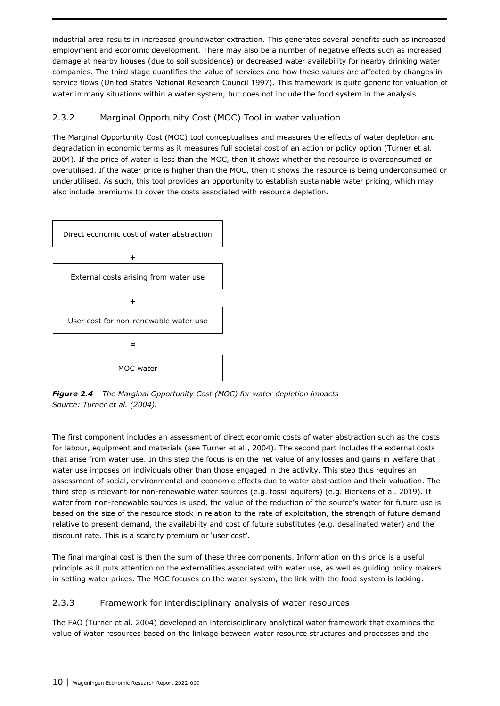industrial area results in increased groundwater extraction. This generates several benefits such as increased employment and economic development. There may also be a number of negative effects such as increased damage at nearby houses (due to soil subsidence) or decreased water availability for nearby drinking water companies. The third stage quantifies the value of services and how these values are affected by changes in service flows (United States National Research Council 1997). This framework is quite generic for valuation of water in many situations within a water system, but does not include the food system in the analysis.

## <span id="page-9-0"></span>2.3.2 Marginal Opportunity Cost (MOC) Tool in water valuation

The Marginal Opportunity Cost (MOC) tool conceptualises and measures the effects of water depletion and degradation in economic terms as it measures full societal cost of an action or policy option (Turner et al. 2004). If the price of water is less than the MOC, then it shows whether the resource is overconsumed or overutilised. If the water price is higher than the MOC, then it shows the resource is being underconsumed or underutilised. As such, this tool provides an opportunity to establish sustainable water pricing, which may also include premiums to cover the costs associated with resource depletion.

![](_page_9_Figure_3.jpeg)

*Figure 2.4 The Marginal Opportunity Cost (MOC) for water depletion impacts Source: Turner et al. (2004).*

The first component includes an assessment of direct economic costs of water abstraction such as the costs for labour, equipment and materials (see Turner et al., 2004). The second part includes the external costs that arise from water use. In this step the focus is on the net value of any losses and gains in welfare that water use imposes on individuals other than those engaged in the activity. This step thus requires an assessment of social, environmental and economic effects due to water abstraction and their valuation. The third step is relevant for non-renewable water sources (e.g. fossil aquifers) (e.g. Bierkens et al. 2019). If water from non-renewable sources is used, the value of the reduction of the source's water for future use is based on the size of the resource stock in relation to the rate of exploitation, the strength of future demand relative to present demand, the availability and cost of future substitutes (e.g. desalinated water) and the discount rate. This is a scarcity premium or 'user cost'.

The final marginal cost is then the sum of these three components. Information on this price is a useful principle as it puts attention on the externalities associated with water use, as well as guiding policy makers in setting water prices. The MOC focuses on the water system, the link with the food system is lacking.

### <span id="page-9-1"></span>2.3.3 Framework for interdisciplinary analysis of water resources

The FAO (Turner et al. 2004) developed an interdisciplinary analytical water framework that examines the value of water resources based on the linkage between water resource structures and processes and the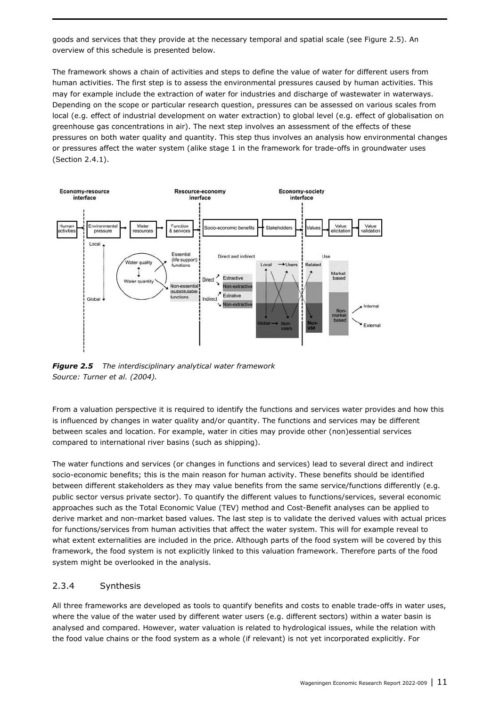goods and services that they provide at the necessary temporal and spatial scale (see Figure 2.5). An overview of this schedule is presented below.

The framework shows a chain of activities and steps to define the value of water for different users from human activities. The first step is to assess the environmental pressures caused by human activities. This may for example include the extraction of water for industries and discharge of wastewater in waterways. Depending on the scope or particular research question, pressures can be assessed on various scales from local (e.g. effect of industrial development on water extraction) to global level (e.g. effect of globalisation on greenhouse gas concentrations in air). The next step involves an assessment of the effects of these pressures on both water quality and quantity. This step thus involves an analysis how environmental changes or pressures affect the water system (alike stage 1 in the framework for trade-offs in groundwater uses (Section 2.4.1).

![](_page_10_Figure_2.jpeg)

*Figure 2.5 The interdisciplinary analytical water framework Source: Turner et al. (2004).*

From a valuation perspective it is required to identify the functions and services water provides and how this is influenced by changes in water quality and/or quantity. The functions and services may be different between scales and location. For example, water in cities may provide other (non)essential services compared to international river basins (such as shipping).

The water functions and services (or changes in functions and services) lead to several direct and indirect socio-economic benefits; this is the main reason for human activity. These benefits should be identified between different stakeholders as they may value benefits from the same service/functions differently (e.g. public sector versus private sector). To quantify the different values to functions/services, several economic approaches such as the Total Economic Value (TEV) method and Cost-Benefit analyses can be applied to derive market and non-market based values. The last step is to validate the derived values with actual prices for functions/services from human activities that affect the water system. This will for example reveal to what extent externalities are included in the price. Although parts of the food system will be covered by this framework, the food system is not explicitly linked to this valuation framework. Therefore parts of the food system might be overlooked in the analysis.

### <span id="page-10-0"></span>2.3.4 Synthesis

All three frameworks are developed as tools to quantify benefits and costs to enable trade-offs in water uses, where the value of the water used by different water users (e.g. different sectors) within a water basin is analysed and compared. However, water valuation is related to hydrological issues, while the relation with the food value chains or the food system as a whole (if relevant) is not yet incorporated explicitly. For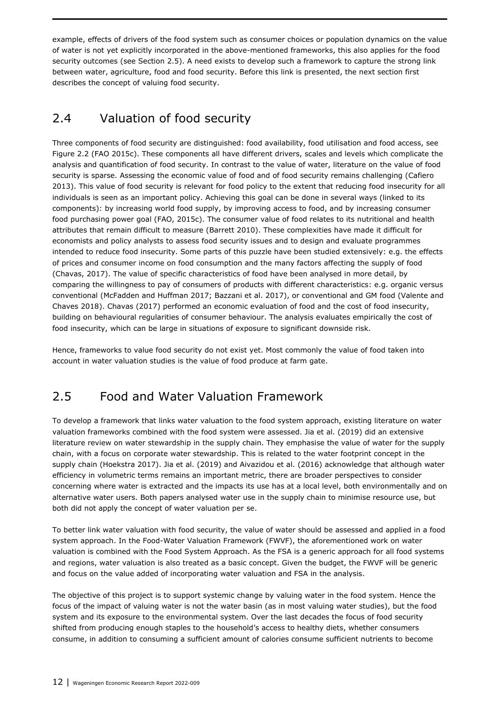example, effects of drivers of the food system such as consumer choices or population dynamics on the value of water is not yet explicitly incorporated in the above-mentioned frameworks, this also applies for the food security outcomes (see Section 2.5). A need exists to develop such a framework to capture the strong link between water, agriculture, food and food security. Before this link is presented, the next section first describes the concept of valuing food security.

## <span id="page-11-0"></span>2.4 Valuation of food security

Three components of food security are distinguished: food availability, food utilisation and food access, see Figure 2.2 (FAO 2015c). These components all have different drivers, scales and levels which complicate the analysis and quantification of food security. In contrast to the value of water, literature on the value of food security is sparse. Assessing the economic value of food and of food security remains challenging (Cafiero 2013). This value of food security is relevant for food policy to the extent that reducing food insecurity for all individuals is seen as an important policy. Achieving this goal can be done in several ways (linked to its components): by increasing world food supply, by improving access to food, and by increasing consumer food purchasing power goal (FAO, 2015c). The consumer value of food relates to its nutritional and health attributes that remain difficult to measure (Barrett 2010). These complexities have made it difficult for economists and policy analysts to assess food security issues and to design and evaluate programmes intended to reduce food insecurity. Some parts of this puzzle have been studied extensively: e.g. the effects of prices and consumer income on food consumption and the many factors affecting the supply of food (Chavas, 2017). The value of specific characteristics of food have been analysed in more detail, by comparing the willingness to pay of consumers of products with different characteristics: e.g. organic versus conventional (McFadden and Huffman 2017; Bazzani et al. 2017), or conventional and GM food (Valente and Chaves 2018). Chavas (2017) performed an economic evaluation of food and the cost of food insecurity, building on behavioural regularities of consumer behaviour. The analysis evaluates empirically the cost of food insecurity, which can be large in situations of exposure to significant downside risk.

<span id="page-11-1"></span>Hence, frameworks to value food security do not exist yet. Most commonly the value of food taken into account in water valuation studies is the value of food produce at farm gate.

# 2.5 Food and Water Valuation Framework

To develop a framework that links water valuation to the food system approach, existing literature on water valuation frameworks combined with the food system were assessed. Jia et al. (2019) did an extensive literature review on water stewardship in the supply chain. They emphasise the value of water for the supply chain, with a focus on corporate water stewardship. This is related to the water footprint concept in the supply chain (Hoekstra 2017). Jia et al. (2019) and Aivazidou et al. (2016) acknowledge that although water efficiency in volumetric terms remains an important metric, there are broader perspectives to consider concerning where water is extracted and the impacts its use has at a local level, both environmentally and on alternative water users. Both papers analysed water use in the supply chain to minimise resource use, but both did not apply the concept of water valuation per se.

To better link water valuation with food security, the value of water should be assessed and applied in a food system approach. In the Food-Water Valuation Framework (FWVF), the aforementioned work on water valuation is combined with the Food System Approach. As the FSA is a generic approach for all food systems and regions, water valuation is also treated as a basic concept. Given the budget, the FWVF will be generic and focus on the value added of incorporating water valuation and FSA in the analysis.

The objective of this project is to support systemic change by valuing water in the food system. Hence the focus of the impact of valuing water is not the water basin (as in most valuing water studies), but the food system and its exposure to the environmental system. Over the last decades the focus of food security shifted from producing enough staples to the household's access to healthy diets, whether consumers consume, in addition to consuming a sufficient amount of calories consume sufficient nutrients to become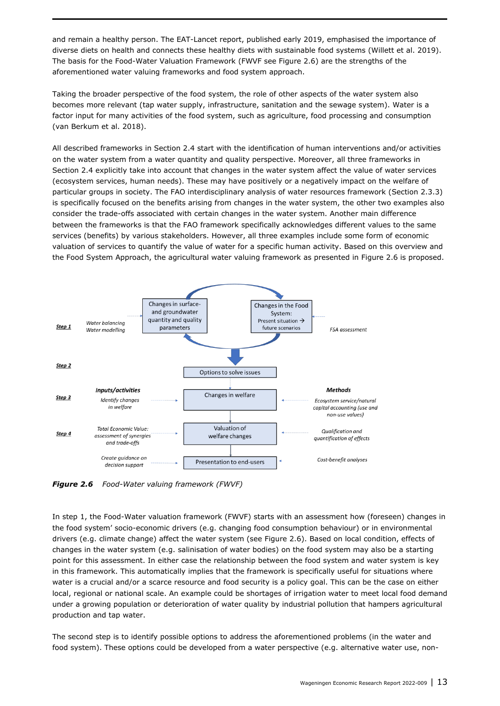and remain a healthy person. The EAT-Lancet report, published early 2019, emphasised the importance of diverse diets on health and connects these healthy diets with sustainable food systems (Willett et al. 2019). The basis for the Food-Water Valuation Framework (FWVF see Figure 2.6) are the strengths of the aforementioned water valuing frameworks and food system approach.

Taking the broader perspective of the food system, the role of other aspects of the water system also becomes more relevant (tap water supply, infrastructure, sanitation and the sewage system). Water is a factor input for many activities of the food system, such as agriculture, food processing and consumption (van Berkum et al. 2018).

All described frameworks in Section 2.4 start with the identification of human interventions and/or activities on the water system from a water quantity and quality perspective. Moreover, all three frameworks in Section 2.4 explicitly take into account that changes in the water system affect the value of water services (ecosystem services, human needs). These may have positively or a negatively impact on the welfare of particular groups in society. The FAO interdisciplinary analysis of water resources framework (Section 2.3.3) is specifically focused on the benefits arising from changes in the water system, the other two examples also consider the trade-offs associated with certain changes in the water system. Another main difference between the frameworks is that the FAO framework specifically acknowledges different values to the same services (benefits) by various stakeholders. However, all three examples include some form of economic valuation of services to quantify the value of water for a specific human activity. Based on this overview and the Food System Approach, the agricultural water valuing framework as presented in Figure 2.6 is proposed.

![](_page_12_Figure_3.jpeg)

*Figure 2.6 Food-Water valuing framework (FWVF)*

In step 1, the Food-Water valuation framework (FWVF) starts with an assessment how (foreseen) changes in the food system' socio-economic drivers (e.g. changing food consumption behaviour) or in environmental drivers (e.g. climate change) affect the water system (see Figure 2.6). Based on local condition, effects of changes in the water system (e.g. salinisation of water bodies) on the food system may also be a starting point for this assessment. In either case the relationship between the food system and water system is key in this framework. This automatically implies that the framework is specifically useful for situations where water is a crucial and/or a scarce resource and food security is a policy goal. This can be the case on either local, regional or national scale. An example could be shortages of irrigation water to meet local food demand under a growing population or deterioration of water quality by industrial pollution that hampers agricultural production and tap water.

The second step is to identify possible options to address the aforementioned problems (in the water and food system). These options could be developed from a water perspective (e.g. alternative water use, non-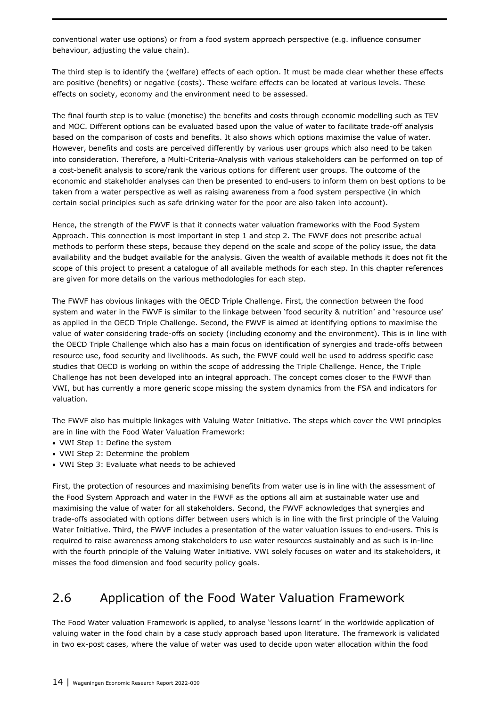conventional water use options) or from a food system approach perspective (e.g. influence consumer behaviour, adjusting the value chain).

The third step is to identify the (welfare) effects of each option. It must be made clear whether these effects are positive (benefits) or negative (costs). These welfare effects can be located at various levels. These effects on society, economy and the environment need to be assessed.

The final fourth step is to value (monetise) the benefits and costs through economic modelling such as TEV and MOC. Different options can be evaluated based upon the value of water to facilitate trade-off analysis based on the comparison of costs and benefits. It also shows which options maximise the value of water. However, benefits and costs are perceived differently by various user groups which also need to be taken into consideration. Therefore, a Multi-Criteria-Analysis with various stakeholders can be performed on top of a cost-benefit analysis to score/rank the various options for different user groups. The outcome of the economic and stakeholder analyses can then be presented to end-users to inform them on best options to be taken from a water perspective as well as raising awareness from a food system perspective (in which certain social principles such as safe drinking water for the poor are also taken into account).

Hence, the strength of the FWVF is that it connects water valuation frameworks with the Food System Approach. This connection is most important in step 1 and step 2. The FWVF does not prescribe actual methods to perform these steps, because they depend on the scale and scope of the policy issue, the data availability and the budget available for the analysis. Given the wealth of available methods it does not fit the scope of this project to present a catalogue of all available methods for each step. In this chapter references are given for more details on the various methodologies for each step.

The FWVF has obvious linkages with the OECD Triple Challenge. First, the connection between the food system and water in the FWVF is similar to the linkage between 'food security & nutrition' and 'resource use' as applied in the OECD Triple Challenge. Second, the FWVF is aimed at identifying options to maximise the value of water considering trade-offs on society (including economy and the environment). This is in line with the OECD Triple Challenge which also has a main focus on identification of synergies and trade-offs between resource use, food security and livelihoods. As such, the FWVF could well be used to address specific case studies that OECD is working on within the scope of addressing the Triple Challenge. Hence, the Triple Challenge has not been developed into an integral approach. The concept comes closer to the FWVF than VWI, but has currently a more generic scope missing the system dynamics from the FSA and indicators for valuation.

The FWVF also has multiple linkages with Valuing Water Initiative. The steps which cover the VWI principles are in line with the Food Water Valuation Framework:

- VWI Step 1: Define the system
- VWI Step 2: Determine the problem
- VWI Step 3: Evaluate what needs to be achieved

First, the protection of resources and maximising benefits from water use is in line with the assessment of the Food System Approach and water in the FWVF as the options all aim at sustainable water use and maximising the value of water for all stakeholders. Second, the FWVF acknowledges that synergies and trade-offs associated with options differ between users which is in line with the first principle of the Valuing Water Initiative. Third, the FWVF includes a presentation of the water valuation issues to end-users. This is required to raise awareness among stakeholders to use water resources sustainably and as such is in-line with the fourth principle of the Valuing Water Initiative. VWI solely focuses on water and its stakeholders, it misses the food dimension and food security policy goals.

## <span id="page-13-0"></span>2.6 Application of the Food Water Valuation Framework

The Food Water valuation Framework is applied, to analyse 'lessons learnt' in the worldwide application of valuing water in the food chain by a case study approach based upon literature. The framework is validated in two ex-post cases, where the value of water was used to decide upon water allocation within the food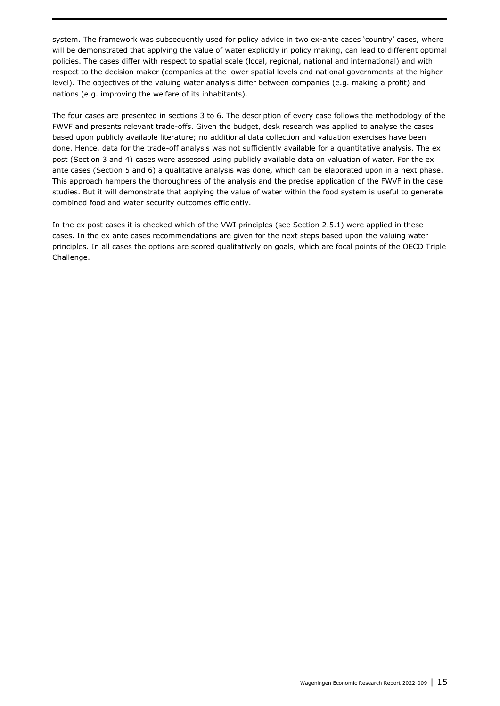system. The framework was subsequently used for policy advice in two ex-ante cases 'country' cases, where will be demonstrated that applying the value of water explicitly in policy making, can lead to different optimal policies. The cases differ with respect to spatial scale (local, regional, national and international) and with respect to the decision maker (companies at the lower spatial levels and national governments at the higher level). The objectives of the valuing water analysis differ between companies (e.g. making a profit) and nations (e.g. improving the welfare of its inhabitants).

The four cases are presented in sections 3 to 6. The description of every case follows the methodology of the FWVF and presents relevant trade-offs. Given the budget, desk research was applied to analyse the cases based upon publicly available literature; no additional data collection and valuation exercises have been done. Hence, data for the trade-off analysis was not sufficiently available for a quantitative analysis. The ex post (Section 3 and 4) cases were assessed using publicly available data on valuation of water. For the ex ante cases (Section 5 and 6) a qualitative analysis was done, which can be elaborated upon in a next phase. This approach hampers the thoroughness of the analysis and the precise application of the FWVF in the case studies. But it will demonstrate that applying the value of water within the food system is useful to generate combined food and water security outcomes efficiently.

In the ex post cases it is checked which of the VWI principles (see Section 2.5.1) were applied in these cases. In the ex ante cases recommendations are given for the next steps based upon the valuing water principles. In all cases the options are scored qualitatively on goals, which are focal points of the OECD Triple Challenge.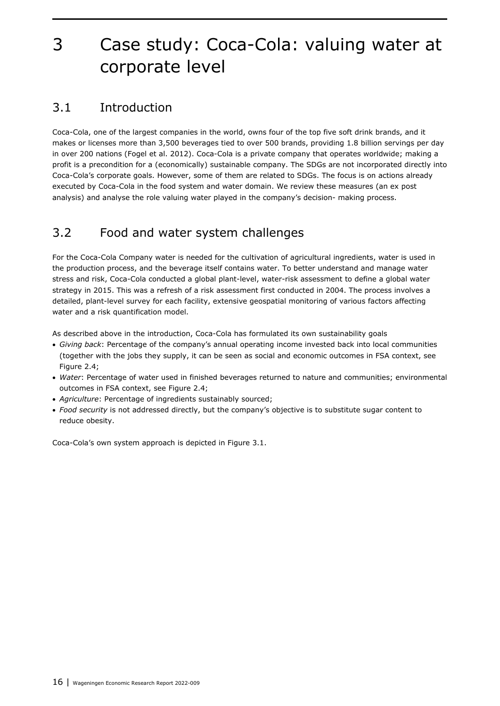# <span id="page-15-0"></span>3 Case study: Coca-Cola: valuing water at corporate level

# <span id="page-15-1"></span>3.1 Introduction

Coca-Cola, one of the largest companies in the world, owns four of the top five soft drink brands, and it makes or licenses more than 3,500 beverages tied to over 500 brands, providing 1.8 billion servings per day in over 200 nations (Fogel et al. 2012). Coca-Cola is a private company that operates worldwide; making a profit is a precondition for a (economically) sustainable company. The SDGs are not incorporated directly into Coca-Cola's corporate goals. However, some of them are related to SDGs. The focus is on actions already executed by Coca-Cola in the food system and water domain. We review these measures (an ex post analysis) and analyse the role valuing water played in the company's decision- making process.

# <span id="page-15-2"></span>3.2 Food and water system challenges

For the Coca-Cola Company water is needed for the cultivation of agricultural ingredients, water is used in the production process, and the beverage itself contains water. To better understand and manage water stress and risk, Coca-Cola conducted a global plant-level, water-risk assessment to define a global water strategy in 2015. This was a refresh of a risk assessment first conducted in 2004. The process involves a detailed, plant-level survey for each facility, extensive geospatial monitoring of various factors affecting water and a risk quantification model.

As described above in the introduction, Coca-Cola has formulated its own sustainability goals

- *Giving back*: Percentage of the company's annual operating income invested back into local communities (together with the jobs they supply, it can be seen as social and economic outcomes in FSA context, see Figure 2.4;
- *Water*: Percentage of water used in finished beverages returned to nature and communities; environmental outcomes in FSA context, see Figure 2.4;
- *Agriculture*: Percentage of ingredients sustainably sourced;
- *Food security* is not addressed directly, but the company's objective is to substitute sugar content to reduce obesity.

Coca-Cola's own system approach is depicted in Figure 3.1.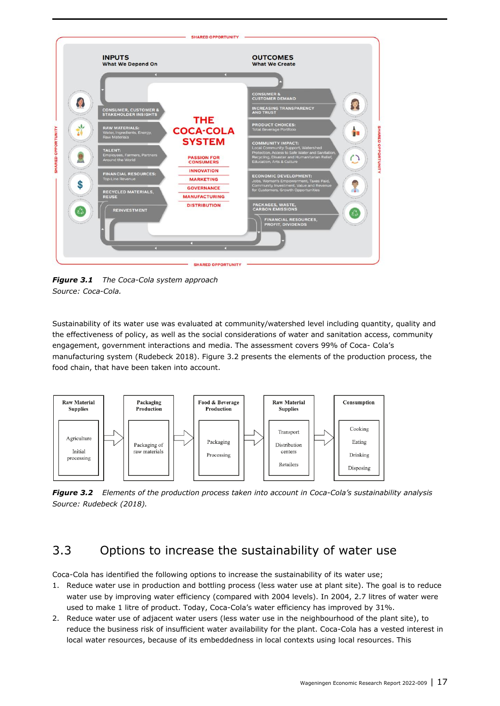![](_page_16_Picture_0.jpeg)

*Figure 3.1 The Coca-Cola system approach Source: Coca-Cola.*

Sustainability of its water use was evaluated at community/watershed level including quantity, quality and the effectiveness of policy, as well as the social considerations of water and sanitation access, community engagement, government interactions and media. The assessment covers 99% of Coca- Cola's manufacturing system (Rudebeck 2018). Figure 3.2 presents the elements of the production process, the food chain, that have been taken into account.

![](_page_16_Figure_3.jpeg)

*Figure 3.2 Elements of the production process taken into account in Coca-Cola's sustainability analysis Source: Rudebeck (2018).*

# <span id="page-16-0"></span>3.3 Options to increase the sustainability of water use

Coca-Cola has identified the following options to increase the sustainability of its water use;

- 1. Reduce water use in production and bottling process (less water use at plant site). The goal is to reduce water use by improving water efficiency (compared with 2004 levels). In 2004, 2.7 litres of water were used to make 1 litre of product. Today, Coca-Cola's water efficiency has improved by 31%.
- 2. Reduce water use of adjacent water users (less water use in the neighbourhood of the plant site), to reduce the business risk of insufficient water availability for the plant. Coca-Cola has a vested interest in local water resources, because of its embeddedness in local contexts using local resources. This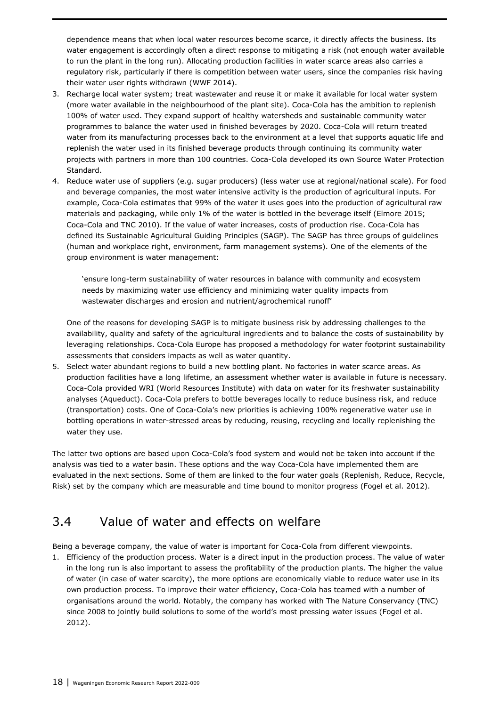dependence means that when local water resources become scarce, it directly affects the business. Its water engagement is accordingly often a direct response to mitigating a risk (not enough water available to run the plant in the long run). Allocating production facilities in water scarce areas also carries a regulatory risk, particularly if there is competition between water users, since the companies risk having their water user rights withdrawn (WWF 2014).

- 3. Recharge local water system; treat wastewater and reuse it or make it available for local water system (more water available in the neighbourhood of the plant site). Coca-Cola has the ambition to replenish 100% of water used. They expand support of healthy watersheds and sustainable community water programmes to balance the water used in finished beverages by 2020. Coca-Cola will return treated water from its manufacturing processes back to the environment at a level that supports aquatic life and replenish the water used in its finished beverage products through continuing its community water projects with partners in more than 100 countries. Coca-Cola developed its own Source Water Protection Standard.
- 4. Reduce water use of suppliers (e.g. sugar producers) (less water use at regional/national scale). For food and beverage companies, the most water intensive activity is the production of agricultural inputs. For example, Coca-Cola estimates that 99% of the water it uses goes into the production of agricultural raw materials and packaging, while only 1% of the water is bottled in the beverage itself (Elmore 2015; Coca-Cola and TNC 2010). If the value of water increases, costs of production rise. Coca-Cola has defined its Sustainable Agricultural Guiding Principles (SAGP). The SAGP has three groups of guidelines (human and workplace right, environment, farm management systems). One of the elements of the group environment is water management:

'ensure long-term sustainability of water resources in balance with community and ecosystem needs by maximizing water use efficiency and minimizing water quality impacts from wastewater discharges and erosion and nutrient/agrochemical runoff'

One of the reasons for developing SAGP is to mitigate business risk by addressing challenges to the availability, quality and safety of the agricultural ingredients and to balance the costs of sustainability by leveraging relationships. Coca-Cola Europe has proposed a methodology for water footprint sustainability assessments that considers impacts as well as water quantity.

5. Select water abundant regions to build a new bottling plant. No factories in water scarce areas. As production facilities have a long lifetime, an assessment whether water is available in future is necessary. Coca-Cola provided WRI (World Resources Institute) with data on water for its freshwater sustainability analyses (Aqueduct). Coca-Cola prefers to bottle beverages locally to reduce business risk, and reduce (transportation) costs. One of Coca-Cola's new priorities is achieving 100% regenerative water use in bottling operations in water-stressed areas by reducing, reusing, recycling and locally replenishing the water they use.

The latter two options are based upon Coca-Cola's food system and would not be taken into account if the analysis was tied to a water basin. These options and the way Coca-Cola have implemented them are evaluated in the next sections. Some of them are linked to the four water goals (Replenish, Reduce, Recycle, Risk) set by the company which are measurable and time bound to monitor progress (Fogel et al. 2012).

## <span id="page-17-0"></span>3.4 Value of water and effects on welfare

Being a beverage company, the value of water is important for Coca-Cola from different viewpoints.

1. Efficiency of the production process. Water is a direct input in the production process. The value of water in the long run is also important to assess the profitability of the production plants. The higher the value of water (in case of water scarcity), the more options are economically viable to reduce water use in its own production process. To improve their water efficiency, Coca-Cola has teamed with a number of organisations around the world. Notably, the company has worked with The Nature Conservancy (TNC) since 2008 to jointly build solutions to some of the world's most pressing water issues (Fogel et al. 2012).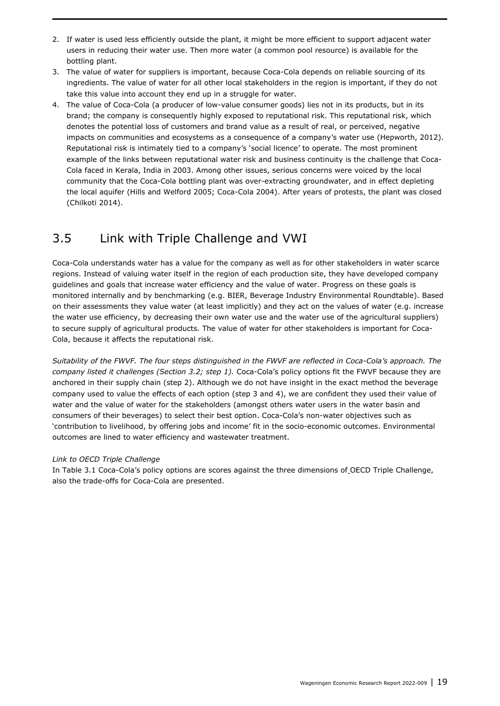- 2. If water is used less efficiently outside the plant, it might be more efficient to support adjacent water users in reducing their water use. Then more water (a common pool resource) is available for the bottling plant.
- 3. The value of water for suppliers is important, because Coca-Cola depends on reliable sourcing of its ingredients. The value of water for all other local stakeholders in the region is important, if they do not take this value into account they end up in a struggle for water.
- 4. The value of Coca-Cola (a producer of low-value consumer goods) lies not in its products, but in its brand; the company is consequently highly exposed to reputational risk. This reputational risk, which denotes the potential loss of customers and brand value as a result of real, or perceived, negative impacts on communities and ecosystems as a consequence of a company's water use (Hepworth, 2012). Reputational risk is intimately tied to a company's 'social licence' to operate. The most prominent example of the links between reputational water risk and business continuity is the challenge that Coca-Cola faced in Kerala, India in 2003. Among other issues, serious concerns were voiced by the local community that the Coca-Cola bottling plant was over-extracting groundwater, and in effect depleting the local aquifer (Hills and Welford 2005; Coca-Cola 2004). After years of protests, the plant was closed (Chilkoti 2014).

## <span id="page-18-0"></span>3.5 Link with Triple Challenge and VWI

Coca-Cola understands water has a value for the company as well as for other stakeholders in water scarce regions. Instead of valuing water itself in the region of each production site, they have developed company guidelines and goals that increase water efficiency and the value of water. Progress on these goals is monitored internally and by benchmarking (e.g. BIER, Beverage Industry Environmental Roundtable). Based on their assessments they value water (at least implicitly) and they act on the values of water (e.g. increase the water use efficiency, by decreasing their own water use and the water use of the agricultural suppliers) to secure supply of agricultural products. The value of water for other stakeholders is important for Coca-Cola, because it affects the reputational risk.

*Suitability of the FWVF. The four steps distinguished in the FWVF are reflected in Coca-Cola's approach. The company listed it challenges (Section 3.2; step 1).* Coca-Cola's policy options fit the FWVF because they are anchored in their supply chain (step 2). Although we do not have insight in the exact method the beverage company used to value the effects of each option (step 3 and 4), we are confident they used their value of water and the value of water for the stakeholders (amongst others water users in the water basin and consumers of their beverages) to select their best option. Coca-Cola's non-water objectives such as 'contribution to livelihood, by offering jobs and income' fit in the socio-economic outcomes. Environmental outcomes are lined to water efficiency and wastewater treatment.

### *Link to OECD Triple Challenge*

In Table 3.1 Coca-Cola's policy options are scores against the three dimensions of OECD Triple Challenge, also the trade-offs for Coca-Cola are presented.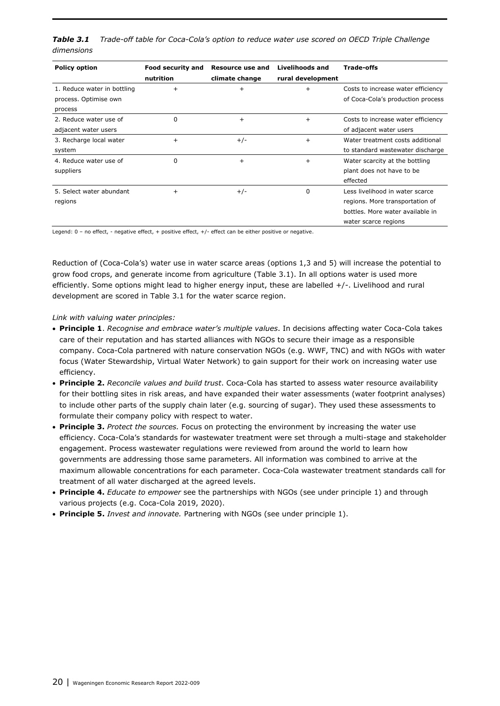|            | <b>Table 3.1</b> Trade-off table for Coca-Cola's option to reduce water use scored on OECD Triple Challenge |
|------------|-------------------------------------------------------------------------------------------------------------|
| dimensions |                                                                                                             |

| <b>Policy option</b>        | Food security and | Resource use and | <b>Livelihoods and</b> | <b>Trade-offs</b>                  |
|-----------------------------|-------------------|------------------|------------------------|------------------------------------|
|                             | nutrition         | climate change   | rural development      |                                    |
| 1. Reduce water in bottling | $\ddot{}$         | $\ddot{}$        | $^{+}$                 | Costs to increase water efficiency |
| process. Optimise own       |                   |                  |                        | of Coca-Cola's production process  |
| process                     |                   |                  |                        |                                    |
| 2. Reduce water use of      | $\Omega$          | $\ddot{}$        | $^{+}$                 | Costs to increase water efficiency |
| adjacent water users        |                   |                  |                        | of adjacent water users            |
| 3. Recharge local water     | $\ddot{}$         | $+/-$            | $^{+}$                 | Water treatment costs additional   |
| system                      |                   |                  |                        | to standard wastewater discharge   |
| 4. Reduce water use of      | $\Omega$          | $\pm$            | $\ddot{}$              | Water scarcity at the bottling     |
| suppliers                   |                   |                  |                        | plant does not have to be          |
|                             |                   |                  |                        | effected                           |
| 5. Select water abundant    | $^{+}$            | $+/-$            | 0                      | Less livelihood in water scarce    |
| regions                     |                   |                  |                        | regions. More transportation of    |
|                             |                   |                  |                        | bottles. More water available in   |
|                             |                   |                  |                        | water scarce regions               |

Legend: 0 – no effect, - negative effect, + positive effect, +/- effect can be either positive or negative.

Reduction of (Coca-Cola's) water use in water scarce areas (options 1,3 and 5) will increase the potential to grow food crops, and generate income from agriculture (Table 3.1). In all options water is used more efficiently. Some options might lead to higher energy input, these are labelled +/-. Livelihood and rural development are scored in Table 3.1 for the water scarce region.

*Link with valuing water principles:*

- **Principle 1**. *Recognise and embrace water's multiple values*. In decisions affecting water Coca-Cola takes care of their reputation and has started alliances with NGOs to secure their image as a responsible company. Coca-Cola partnered with nature conservation NGOs (e.g. WWF, TNC) and with NGOs with water focus (Water Stewardship, Virtual Water Network) to gain support for their work on increasing water use efficiency.
- **Principle 2.** *Reconcile values and build trust*. Coca-Cola has started to assess water resource availability for their bottling sites in risk areas, and have expanded their water assessments (water footprint analyses) to include other parts of the supply chain later (e.g. sourcing of sugar). They used these assessments to formulate their company policy with respect to water.
- **Principle 3.** *Protect the sources.* Focus on protecting the environment by increasing the water use efficiency. Coca-Cola's standards for wastewater treatment were set through a multi-stage and stakeholder engagement. Process wastewater regulations were reviewed from around the world to learn how governments are addressing those same parameters. All information was combined to arrive at the maximum allowable concentrations for each parameter. Coca-Cola wastewater treatment standards call for treatment of all water discharged at the agreed levels.
- **Principle 4.** *Educate to empower* see the partnerships with NGOs (see under principle 1) and through various projects (e.g. Coca-Cola 2019, 2020).
- **Principle 5.** *Invest and innovate.* Partnering with NGOs (see under principle 1).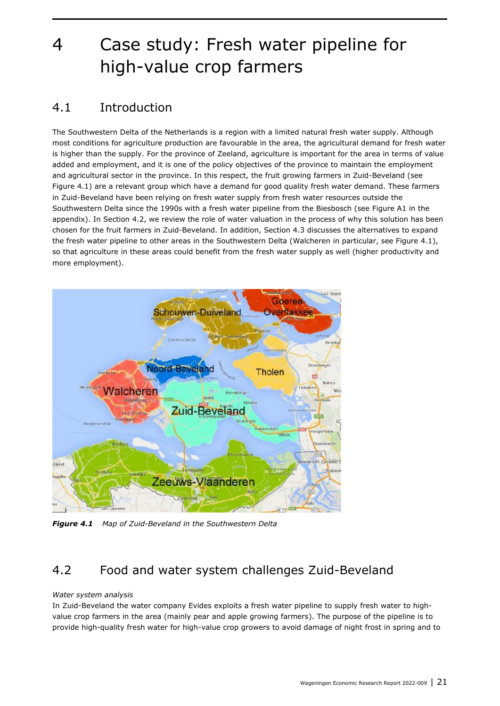# <span id="page-20-0"></span>4 Case study: Fresh water pipeline for high-value crop farmers

## <span id="page-20-1"></span>4.1 Introduction

The Southwestern Delta of the Netherlands is a region with a limited natural fresh water supply. Although most conditions for agriculture production are favourable in the area, the agricultural demand for fresh water is higher than the supply. For the province of Zeeland, agriculture is important for the area in terms of value added and employment, and it is one of the policy objectives of the province to maintain the employment and agricultural sector in the province. In this respect, the fruit growing farmers in Zuid-Beveland (see Figure 4.1) are a relevant group which have a demand for good quality fresh water demand. These farmers in Zuid-Beveland have been relying on fresh water supply from fresh water resources outside the Southwestern Delta since the 1990s with a fresh water pipeline from the Biesbosch (see Figure A1 in the appendix). In Section 4.2, we review the role of water valuation in the process of why this solution has been chosen for the fruit farmers in Zuid-Beveland. In addition, Section 4.3 discusses the alternatives to expand the fresh water pipeline to other areas in the Southwestern Delta (Walcheren in particular, see Figure 4.1), so that agriculture in these areas could benefit from the fresh water supply as well (higher productivity and more employment).

![](_page_20_Figure_3.jpeg)

<span id="page-20-2"></span>*Figure 4.1 Map of Zuid-Beveland in the Southwestern Delta*

# 4.2 Food and water system challenges Zuid-Beveland

### *Water system analysis*

In Zuid-Beveland the water company Evides exploits a fresh water pipeline to supply fresh water to highvalue crop farmers in the area (mainly pear and apple growing farmers). The purpose of the pipeline is to provide high-quality fresh water for high-value crop growers to avoid damage of night frost in spring and to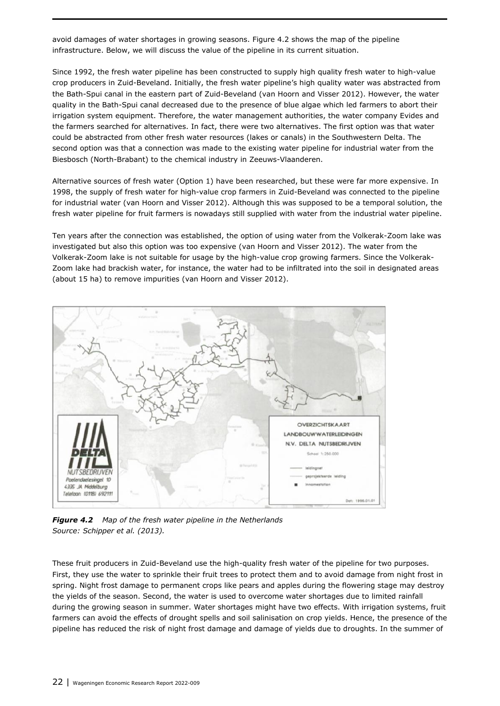avoid damages of water shortages in growing seasons. Figure 4.2 shows the map of the pipeline infrastructure. Below, we will discuss the value of the pipeline in its current situation.

Since 1992, the fresh water pipeline has been constructed to supply high quality fresh water to high-value crop producers in Zuid-Beveland. Initially, the fresh water pipeline's high quality water was abstracted from the Bath-Spui canal in the eastern part of Zuid-Beveland (van Hoorn and Visser 2012). However, the water quality in the Bath-Spui canal decreased due to the presence of blue algae which led farmers to abort their irrigation system equipment. Therefore, the water management authorities, the water company Evides and the farmers searched for alternatives. In fact, there were two alternatives. The first option was that water could be abstracted from other fresh water resources (lakes or canals) in the Southwestern Delta. The second option was that a connection was made to the existing water pipeline for industrial water from the Biesbosch (North-Brabant) to the chemical industry in Zeeuws-Vlaanderen.

Alternative sources of fresh water (Option 1) have been researched, but these were far more expensive. In 1998, the supply of fresh water for high-value crop farmers in Zuid-Beveland was connected to the pipeline for industrial water (van Hoorn and Visser 2012). Although this was supposed to be a temporal solution, the fresh water pipeline for fruit farmers is nowadays still supplied with water from the industrial water pipeline.

Ten years after the connection was established, the option of using water from the Volkerak-Zoom lake was investigated but also this option was too expensive (van Hoorn and Visser 2012). The water from the Volkerak-Zoom lake is not suitable for usage by the high-value crop growing farmers. Since the Volkerak-Zoom lake had brackish water, for instance, the water had to be infiltrated into the soil in designated areas (about 15 ha) to remove impurities (van Hoorn and Visser 2012).

![](_page_21_Figure_4.jpeg)

*Figure 4.2 Map of the fresh water pipeline in the Netherlands Source: Schipper et al. (2013).*

These fruit producers in Zuid-Beveland use the high-quality fresh water of the pipeline for two purposes. First, they use the water to sprinkle their fruit trees to protect them and to avoid damage from night frost in spring. Night frost damage to permanent crops like pears and apples during the flowering stage may destroy the yields of the season. Second, the water is used to overcome water shortages due to limited rainfall during the growing season in summer. Water shortages might have two effects. With irrigation systems, fruit farmers can avoid the effects of drought spells and soil salinisation on crop yields. Hence, the presence of the pipeline has reduced the risk of night frost damage and damage of yields due to droughts. In the summer of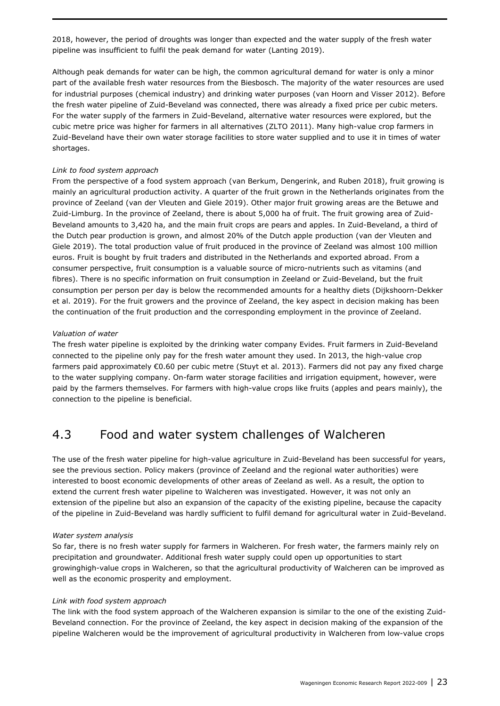2018, however, the period of droughts was longer than expected and the water supply of the fresh water pipeline was insufficient to fulfil the peak demand for water (Lanting 2019).

Although peak demands for water can be high, the common agricultural demand for water is only a minor part of the available fresh water resources from the Biesbosch. The majority of the water resources are used for industrial purposes (chemical industry) and drinking water purposes (van Hoorn and Visser 2012). Before the fresh water pipeline of Zuid-Beveland was connected, there was already a fixed price per cubic meters. For the water supply of the farmers in Zuid-Beveland, alternative water resources were explored, but the cubic metre price was higher for farmers in all alternatives (ZLTO 2011). Many high-value crop farmers in Zuid-Beveland have their own water storage facilities to store water supplied and to use it in times of water shortages.

#### *Link to food system approach*

From the perspective of a food system approach (van Berkum, Dengerink, and Ruben 2018), fruit growing is mainly an agricultural production activity. A quarter of the fruit grown in the Netherlands originates from the province of Zeeland (van der Vleuten and Giele 2019). Other major fruit growing areas are the Betuwe and Zuid-Limburg. In the province of Zeeland, there is about 5,000 ha of fruit. The fruit growing area of Zuid-Beveland amounts to 3,420 ha, and the main fruit crops are pears and apples. In Zuid-Beveland, a third of the Dutch pear production is grown, and almost 20% of the Dutch apple production (van der Vleuten and Giele 2019). The total production value of fruit produced in the province of Zeeland was almost 100 million euros. Fruit is bought by fruit traders and distributed in the Netherlands and exported abroad. From a consumer perspective, fruit consumption is a valuable source of micro-nutrients such as vitamins (and fibres). There is no specific information on fruit consumption in Zeeland or Zuid-Beveland, but the fruit consumption per person per day is below the recommended amounts for a healthy diets (Dijkshoorn-Dekker et al. 2019). For the fruit growers and the province of Zeeland, the key aspect in decision making has been the continuation of the fruit production and the corresponding employment in the province of Zeeland.

#### *Valuation of water*

The fresh water pipeline is exploited by the drinking water company Evides. Fruit farmers in Zuid-Beveland connected to the pipeline only pay for the fresh water amount they used. In 2013, the high-value crop farmers paid approximately €0.60 per cubic metre (Stuyt et al. 2013). Farmers did not pay any fixed charge to the water supplying company. On-farm water storage facilities and irrigation equipment, however, were paid by the farmers themselves. For farmers with high-value crops like fruits (apples and pears mainly), the connection to the pipeline is beneficial.

## <span id="page-22-0"></span>4.3 Food and water system challenges of Walcheren

The use of the fresh water pipeline for high-value agriculture in Zuid-Beveland has been successful for years, see the previous section. Policy makers (province of Zeeland and the regional water authorities) were interested to boost economic developments of other areas of Zeeland as well. As a result, the option to extend the current fresh water pipeline to Walcheren was investigated. However, it was not only an extension of the pipeline but also an expansion of the capacity of the existing pipeline, because the capacity of the pipeline in Zuid-Beveland was hardly sufficient to fulfil demand for agricultural water in Zuid-Beveland.

#### *Water system analysis*

So far, there is no fresh water supply for farmers in Walcheren. For fresh water, the farmers mainly rely on precipitation and groundwater. Additional fresh water supply could open up opportunities to start growinghigh-value crops in Walcheren, so that the agricultural productivity of Walcheren can be improved as well as the economic prosperity and employment.

#### *Link with food system approach*

The link with the food system approach of the Walcheren expansion is similar to the one of the existing Zuid-Beveland connection. For the province of Zeeland, the key aspect in decision making of the expansion of the pipeline Walcheren would be the improvement of agricultural productivity in Walcheren from low-value crops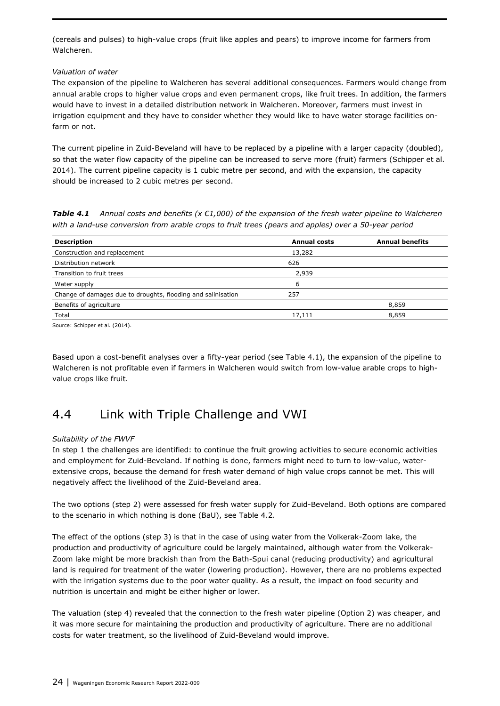(cereals and pulses) to high-value crops (fruit like apples and pears) to improve income for farmers from Walcheren.

#### *Valuation of water*

The expansion of the pipeline to Walcheren has several additional consequences. Farmers would change from annual arable crops to higher value crops and even permanent crops, like fruit trees. In addition, the farmers would have to invest in a detailed distribution network in Walcheren. Moreover, farmers must invest in irrigation equipment and they have to consider whether they would like to have water storage facilities onfarm or not.

The current pipeline in Zuid-Beveland will have to be replaced by a pipeline with a larger capacity (doubled), so that the water flow capacity of the pipeline can be increased to serve more (fruit) farmers (Schipper et al. 2014). The current pipeline capacity is 1 cubic metre per second, and with the expansion, the capacity should be increased to 2 cubic metres per second.

*Table 4.1 Annual costs and benefits (x €1,000) of the expansion of the fresh water pipeline to Walcheren with a land-use conversion from arable crops to fruit trees (pears and apples) over a 50-year period* 

| <b>Description</b>                                           | <b>Annual costs</b> | <b>Annual benefits</b> |
|--------------------------------------------------------------|---------------------|------------------------|
| Construction and replacement                                 | 13,282              |                        |
| Distribution network                                         | 626                 |                        |
| Transition to fruit trees                                    | 2,939               |                        |
| Water supply                                                 | 6                   |                        |
| Change of damages due to droughts, flooding and salinisation | 257                 |                        |
| Benefits of agriculture                                      |                     | 8,859                  |
| Total                                                        | 17,111              | 8,859                  |

Source: Schipper et al. (2014).

Based upon a cost-benefit analyses over a fifty-year period (see Table 4.1), the expansion of the pipeline to Walcheren is not profitable even if farmers in Walcheren would switch from low-value arable crops to highvalue crops like fruit.

# <span id="page-23-0"></span>4.4 Link with Triple Challenge and VWI

### *Suitability of the FWVF*

In step 1 the challenges are identified: to continue the fruit growing activities to secure economic activities and employment for Zuid-Beveland. If nothing is done, farmers might need to turn to low-value, waterextensive crops, because the demand for fresh water demand of high value crops cannot be met. This will negatively affect the livelihood of the Zuid-Beveland area.

The two options (step 2) were assessed for fresh water supply for Zuid-Beveland. Both options are compared to the scenario in which nothing is done (BaU), see Table 4.2.

The effect of the options (step 3) is that in the case of using water from the Volkerak-Zoom lake, the production and productivity of agriculture could be largely maintained, although water from the Volkerak-Zoom lake might be more brackish than from the Bath-Spui canal (reducing productivity) and agricultural land is required for treatment of the water (lowering production). However, there are no problems expected with the irrigation systems due to the poor water quality. As a result, the impact on food security and nutrition is uncertain and might be either higher or lower.

The valuation (step 4) revealed that the connection to the fresh water pipeline (Option 2) was cheaper, and it was more secure for maintaining the production and productivity of agriculture. There are no additional costs for water treatment, so the livelihood of Zuid-Beveland would improve.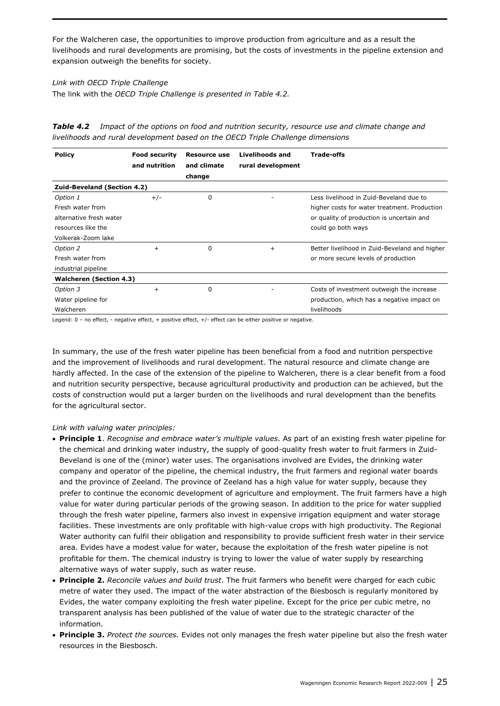For the Walcheren case, the opportunities to improve production from agriculture and as a result the livelihoods and rural developments are promising, but the costs of investments in the pipeline extension and expansion outweigh the benefits for society.

#### *Link with OECD Triple Challenge*

The link with the *OECD Triple Challenge is presented in Table 4.2.*

| Policy    |                                                                                 | Food security Resource use Livelihoods and | Trade-offs                                                                                |  |
|-----------|---------------------------------------------------------------------------------|--------------------------------------------|-------------------------------------------------------------------------------------------|--|
|           | livelihoods and rural development based on the OECD Triple Challenge dimensions |                                            |                                                                                           |  |
| Table 4.2 |                                                                                 |                                            | Impact of the options on food and nutrition security, resource use and climate change and |  |

| .                                  | .             | waannoo nac | егусппоочэ апч    |                                               |
|------------------------------------|---------------|-------------|-------------------|-----------------------------------------------|
|                                    | and nutrition | and climate | rural development |                                               |
|                                    |               | change      |                   |                                               |
| <b>Zuid-Beveland (Section 4.2)</b> |               |             |                   |                                               |
| Option 1                           | $+/-$         | 0           |                   | Less livelihood in Zuid-Beveland due to       |
| Fresh water from                   |               |             |                   | higher costs for water treatment. Production  |
| alternative fresh water            |               |             |                   | or quality of production is uncertain and     |
| resources like the                 |               |             |                   | could go both ways                            |
| Volkerak-Zoom lake                 |               |             |                   |                                               |
| Option 2                           | $+$           | $\Omega$    | $+$               | Better livelihood in Zuid-Beveland and higher |
| Fresh water from                   |               |             |                   | or more secure levels of production           |
| industrial pipeline                |               |             |                   |                                               |
| <b>Walcheren (Section 4.3)</b>     |               |             |                   |                                               |
| Option 3                           | $^{+}$        | 0           |                   | Costs of investment outweigh the increase     |
| Water pipeline for                 |               |             |                   | production, which has a negative impact on    |
| Walcheren                          |               |             |                   | livelihoods                                   |
|                                    |               |             |                   |                                               |

Legend: 0 – no effect, - negative effect, + positive effect, +/- effect can be either positive or negative.

In summary, the use of the fresh water pipeline has been beneficial from a food and nutrition perspective and the improvement of livelihoods and rural development. The natural resource and climate change are hardly affected. In the case of the extension of the pipeline to Walcheren, there is a clear benefit from a food and nutrition security perspective, because agricultural productivity and production can be achieved, but the costs of construction would put a larger burden on the livelihoods and rural development than the benefits for the agricultural sector.

### *Link with valuing water principles:*

- **Principle 1**. *Recognise and embrace water's multiple values*. As part of an existing fresh water pipeline for the chemical and drinking water industry, the supply of good-quality fresh water to fruit farmers in Zuid-Beveland is one of the (minor) water uses. The organisations involved are Evides, the drinking water company and operator of the pipeline, the chemical industry, the fruit farmers and regional water boards and the province of Zeeland. The province of Zeeland has a high value for water supply, because they prefer to continue the economic development of agriculture and employment. The fruit farmers have a high value for water during particular periods of the growing season. In addition to the price for water supplied through the fresh water pipeline, farmers also invest in expensive irrigation equipment and water storage facilities. These investments are only profitable with high-value crops with high productivity. The Regional Water authority can fulfil their obligation and responsibility to provide sufficient fresh water in their service area. Evides have a modest value for water, because the exploitation of the fresh water pipeline is not profitable for them. The chemical industry is trying to lower the value of water supply by researching alternative ways of water supply, such as water reuse.
- **Principle 2.** *Reconcile values and build trust*. The fruit farmers who benefit were charged for each cubic metre of water they used. The impact of the water abstraction of the Biesbosch is regularly monitored by Evides, the water company exploiting the fresh water pipeline. Except for the price per cubic metre, no transparent analysis has been published of the value of water due to the strategic character of the information.
- **Principle 3.** *Protect the sources.* Evides not only manages the fresh water pipeline but also the fresh water resources in the Biesbosch.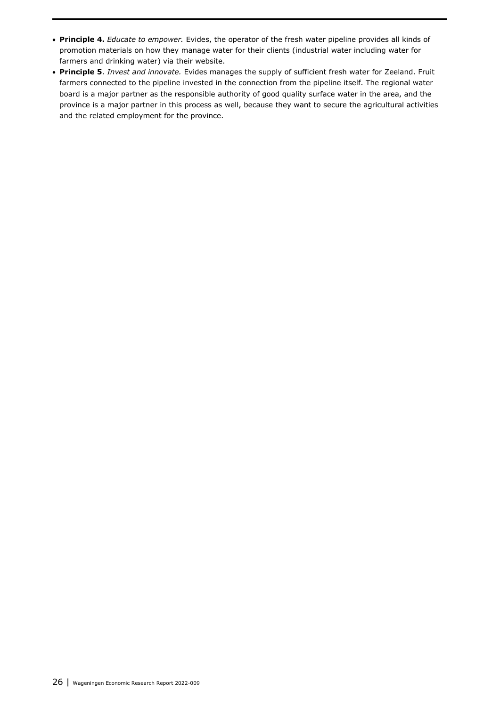- **Principle 4.** *Educate to empower.* Evides, the operator of the fresh water pipeline provides all kinds of promotion materials on how they manage water for their clients (industrial water including water for farmers and drinking water) via their website.
- **Principle 5**. *Invest and innovate.* Evides manages the supply of sufficient fresh water for Zeeland. Fruit farmers connected to the pipeline invested in the connection from the pipeline itself. The regional water board is a major partner as the responsible authority of good quality surface water in the area, and the province is a major partner in this process as well, because they want to secure the agricultural activities and the related employment for the province.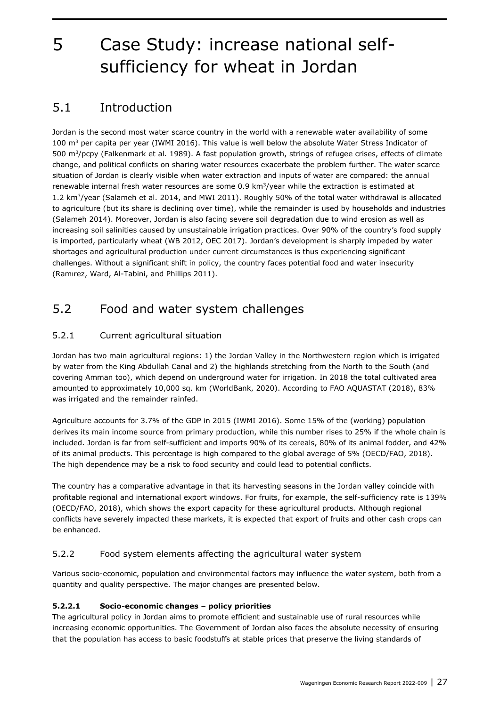# <span id="page-26-0"></span>5 Case Study: increase national selfsufficiency for wheat in Jordan

# <span id="page-26-1"></span>5.1 Introduction

Jordan is the second most water scarce country in the world with a renewable water availability of some 100  $\text{m}^3$  per capita per year (IWMI 2016). This value is well below the absolute Water Stress Indicator of 500 m<sup>3</sup>/pcpy (Falkenmark et al. 1989). A fast population growth, strings of refugee crises, effects of climate change, and political conflicts on sharing water resources exacerbate the problem further. The water scarce situation of Jordan is clearly visible when water extraction and inputs of water are compared: the annual renewable internal fresh water resources are some 0.9 km<sup>3</sup>/year while the extraction is estimated at 1.2 km<sup>3</sup> /year (Salameh et al. 2014, and MWI 2011). Roughly 50% of the total water withdrawal is allocated to agriculture (but its share is declining over time), while the remainder is used by households and industries (Salameh 2014). Moreover, Jordan is also facing severe soil degradation due to wind erosion as well as increasing soil salinities caused by unsustainable irrigation practices. Over 90% of the country's food supply is imported, particularly wheat (WB 2012, OEC 2017). Jordan's development is sharply impeded by water shortages and agricultural production under current circumstances is thus experiencing significant challenges. Without a significant shift in policy, the country faces potential food and water insecurity (Ramırez, Ward, Al-Tabini, and Phillips 2011).

# <span id="page-26-2"></span>5.2 Food and water system challenges

## <span id="page-26-3"></span>5.2.1 Current agricultural situation

Jordan has two main agricultural regions: 1) the Jordan Valley in the Northwestern region which is irrigated by water from the King Abdullah Canal and 2) the highlands stretching from the North to the South (and covering Amman too), which depend on underground water for irrigation. In 2018 the total cultivated area amounted to approximately 10,000 sq. km (WorldBank, 2020). According to FAO AQUASTAT (2018), 83% was irrigated and the remainder rainfed.

Agriculture accounts for 3.7% of the GDP in 2015 (IWMI 2016). Some 15% of the (working) population derives its main income source from primary production, while this number rises to 25% if the whole chain is included. Jordan is far from self-sufficient and imports 90% of its cereals, 80% of its animal fodder, and 42% of its animal products. This percentage is high compared to the global average of 5% (OECD/FAO, 2018). The high dependence may be a risk to food security and could lead to potential conflicts.

The country has a comparative advantage in that its harvesting seasons in the Jordan valley coincide with profitable regional and international export windows. For fruits, for example, the self-sufficiency rate is 139% (OECD/FAO, 2018), which shows the export capacity for these agricultural products. Although regional conflicts have severely impacted these markets, it is expected that export of fruits and other cash crops can be enhanced.

## <span id="page-26-4"></span>5.2.2 Food system elements affecting the agricultural water system

Various socio-economic, population and environmental factors may influence the water system, both from a quantity and quality perspective. The major changes are presented below.

## **5.2.2.1 Socio-economic changes – policy priorities**

The agricultural policy in Jordan aims to promote efficient and sustainable use of rural resources while increasing economic opportunities. The Government of Jordan also faces the absolute necessity of ensuring that the population has access to basic foodstuffs at stable prices that preserve the living standards of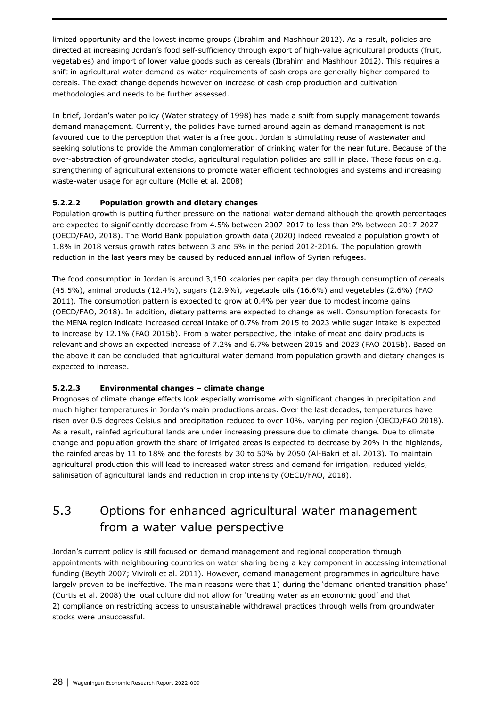limited opportunity and the lowest income groups (Ibrahim and Mashhour 2012). As a result, policies are directed at increasing Jordan's food self-sufficiency through export of high-value agricultural products (fruit, vegetables) and import of lower value goods such as cereals (Ibrahim and Mashhour 2012). This requires a shift in agricultural water demand as water requirements of cash crops are generally higher compared to cereals. The exact change depends however on increase of cash crop production and cultivation methodologies and needs to be further assessed.

In brief, Jordan's water policy (Water strategy of 1998) has made a shift from supply management towards demand management. Currently, the policies have turned around again as demand management is not favoured due to the perception that water is a free good. Jordan is stimulating reuse of wastewater and seeking solutions to provide the Amman conglomeration of drinking water for the near future. Because of the over-abstraction of groundwater stocks, agricultural regulation policies are still in place. These focus on e.g. strengthening of agricultural extensions to promote water efficient technologies and systems and increasing waste-water usage for agriculture (Molle et al. 2008)

## **5.2.2.2 Population growth and dietary changes**

Population growth is putting further pressure on the national water demand although the growth percentages are expected to significantly decrease from 4.5% between 2007-2017 to less than 2% between 2017-2027 (OECD/FAO, 2018). The World Bank population growth data (2020) indeed revealed a population growth of 1.8% in 2018 versus growth rates between 3 and 5% in the period 2012-2016. The population growth reduction in the last years may be caused by reduced annual inflow of Syrian refugees.

The food consumption in Jordan is around 3,150 kcalories per capita per day through consumption of cereals (45.5%), animal products (12.4%), sugars (12.9%), vegetable oils (16.6%) and vegetables (2.6%) (FAO 2011). The consumption pattern is expected to grow at 0.4% per year due to modest income gains (OECD/FAO, 2018). In addition, dietary patterns are expected to change as well. Consumption forecasts for the MENA region indicate increased cereal intake of 0.7% from 2015 to 2023 while sugar intake is expected to increase by 12.1% (FAO 2015b). From a water perspective, the intake of meat and dairy products is relevant and shows an expected increase of 7.2% and 6.7% between 2015 and 2023 (FAO 2015b). Based on the above it can be concluded that agricultural water demand from population growth and dietary changes is expected to increase.

## **5.2.2.3 Environmental changes – climate change**

Prognoses of climate change effects look especially worrisome with significant changes in precipitation and much higher temperatures in Jordan's main productions areas. Over the last decades, temperatures have risen over 0.5 degrees Celsius and precipitation reduced to over 10%, varying per region (OECD/FAO 2018). As a result, rainfed agricultural lands are under increasing pressure due to climate change. Due to climate change and population growth the share of irrigated areas is expected to decrease by 20% in the highlands, the rainfed areas by 11 to 18% and the forests by 30 to 50% by 2050 (Al-Bakri et al. 2013). To maintain agricultural production this will lead to increased water stress and demand for irrigation, reduced yields, salinisation of agricultural lands and reduction in crop intensity (OECD/FAO, 2018).

# <span id="page-27-0"></span>5.3 Options for enhanced agricultural water management from a water value perspective

Jordan's current policy is still focused on demand management and regional cooperation through appointments with neighbouring countries on water sharing being a key component in accessing international funding (Beyth 2007; Viviroli et al. 2011). However, demand management programmes in agriculture have largely proven to be ineffective. The main reasons were that 1) during the 'demand oriented transition phase' (Curtis et al. 2008) the local culture did not allow for 'treating water as an economic good' and that 2) compliance on restricting access to unsustainable withdrawal practices through wells from groundwater stocks were unsuccessful.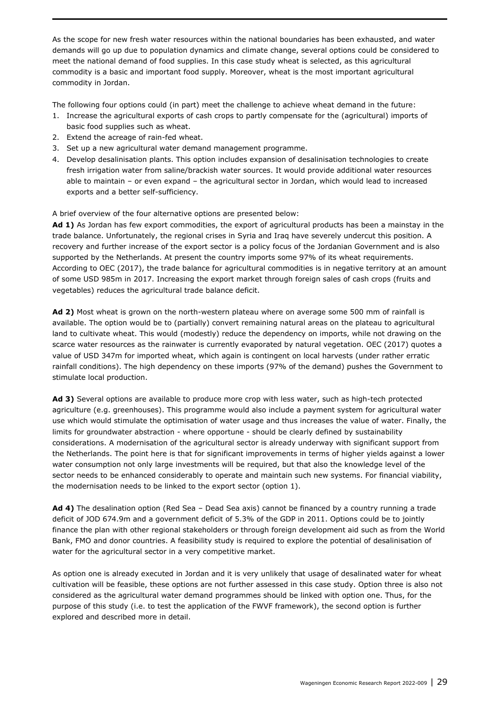As the scope for new fresh water resources within the national boundaries has been exhausted, and water demands will go up due to population dynamics and climate change, several options could be considered to meet the national demand of food supplies. In this case study wheat is selected, as this agricultural commodity is a basic and important food supply. Moreover, wheat is the most important agricultural commodity in Jordan.

The following four options could (in part) meet the challenge to achieve wheat demand in the future:

- 1. Increase the agricultural exports of cash crops to partly compensate for the (agricultural) imports of basic food supplies such as wheat.
- 2. Extend the acreage of rain-fed wheat.
- 3. Set up a new agricultural water demand management programme.
- 4. Develop desalinisation plants. This option includes expansion of desalinisation technologies to create fresh irrigation water from saline/brackish water sources. It would provide additional water resources able to maintain – or even expand – the agricultural sector in Jordan, which would lead to increased exports and a better self-sufficiency.

A brief overview of the four alternative options are presented below:

Ad 1) As Jordan has few export commodities, the export of agricultural products has been a mainstay in the trade balance. Unfortunately, the regional crises in Syria and Iraq have severely undercut this position. A recovery and further increase of the export sector is a policy focus of the Jordanian Government and is also supported by the Netherlands. At present the country imports some 97% of its wheat requirements. According to OEC (2017), the trade balance for agricultural commodities is in negative territory at an amount of some USD 985m in 2017. Increasing the export market through foreign sales of cash crops (fruits and vegetables) reduces the agricultural trade balance deficit.

**Ad 2)** Most wheat is grown on the north-western plateau where on average some 500 mm of rainfall is available. The option would be to (partially) convert remaining natural areas on the plateau to agricultural land to cultivate wheat. This would (modestly) reduce the dependency on imports, while not drawing on the scarce water resources as the rainwater is currently evaporated by natural vegetation. OEC (2017) quotes a value of USD 347m for imported wheat, which again is contingent on local harvests (under rather erratic rainfall conditions). The high dependency on these imports (97% of the demand) pushes the Government to stimulate local production.

**Ad 3)** Several options are available to produce more crop with less water, such as high-tech protected agriculture (e.g. greenhouses). This programme would also include a payment system for agricultural water use which would stimulate the optimisation of water usage and thus increases the value of water. Finally, the limits for groundwater abstraction - where opportune - should be clearly defined by sustainability considerations. A modernisation of the agricultural sector is already underway with significant support from the Netherlands. The point here is that for significant improvements in terms of higher yields against a lower water consumption not only large investments will be required, but that also the knowledge level of the sector needs to be enhanced considerably to operate and maintain such new systems. For financial viability, the modernisation needs to be linked to the export sector (option 1).

**Ad 4)** The desalination option (Red Sea – Dead Sea axis) cannot be financed by a country running a trade deficit of JOD 674.9m and a government deficit of 5.3% of the GDP in 2011. Options could be to jointly finance the plan with other regional stakeholders or through foreign development aid such as from the World Bank, FMO and donor countries. A feasibility study is required to explore the potential of desalinisation of water for the agricultural sector in a very competitive market.

As option one is already executed in Jordan and it is very unlikely that usage of desalinated water for wheat cultivation will be feasible, these options are not further assessed in this case study. Option three is also not considered as the agricultural water demand programmes should be linked with option one. Thus, for the purpose of this study (i.e. to test the application of the FWVF framework), the second option is further explored and described more in detail.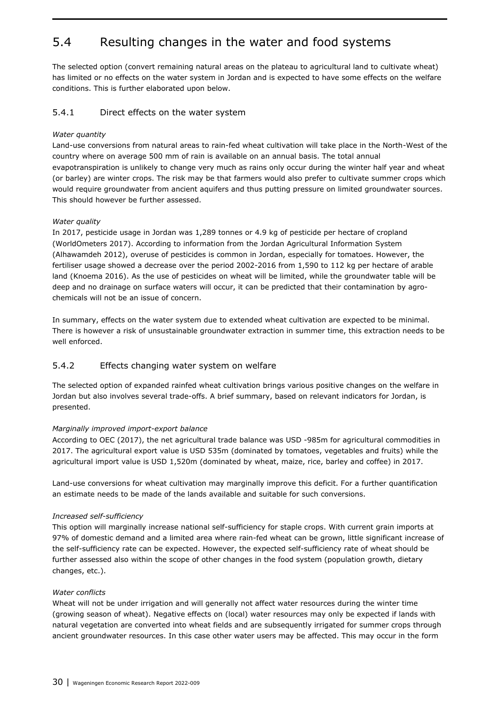# <span id="page-29-0"></span>5.4 Resulting changes in the water and food systems

The selected option (convert remaining natural areas on the plateau to agricultural land to cultivate wheat) has limited or no effects on the water system in Jordan and is expected to have some effects on the welfare conditions. This is further elaborated upon below.

### <span id="page-29-1"></span>5.4.1 Direct effects on the water system

#### *Water quantity*

Land-use conversions from natural areas to rain-fed wheat cultivation will take place in the North-West of the country where on average 500 mm of rain is available on an annual basis. The total annual evapotranspiration is unlikely to change very much as rains only occur during the winter half year and wheat (or barley) are winter crops. The risk may be that farmers would also prefer to cultivate summer crops which would require groundwater from ancient aquifers and thus putting pressure on limited groundwater sources. This should however be further assessed.

#### *Water quality*

In 2017, pesticide usage in Jordan was 1,289 tonnes or 4.9 kg of pesticide per hectare of cropland (WorldOmeters 2017). According to information from the Jordan Agricultural Information System (Alhawamdeh 2012), overuse of pesticides is common in Jordan, especially for tomatoes. However, the fertiliser usage showed a decrease over the period 2002-2016 from 1,590 to 112 kg per hectare of arable land (Knoema 2016). As the use of pesticides on wheat will be limited, while the groundwater table will be deep and no drainage on surface waters will occur, it can be predicted that their contamination by agrochemicals will not be an issue of concern.

In summary, effects on the water system due to extended wheat cultivation are expected to be minimal. There is however a risk of unsustainable groundwater extraction in summer time, this extraction needs to be well enforced.

### <span id="page-29-2"></span>5.4.2 Effects changing water system on welfare

The selected option of expanded rainfed wheat cultivation brings various positive changes on the welfare in Jordan but also involves several trade-offs. A brief summary, based on relevant indicators for Jordan, is presented.

### *Marginally improved import-export balance*

According to OEC (2017), the net agricultural trade balance was USD -985m for agricultural commodities in 2017. The agricultural export value is USD 535m (dominated by tomatoes, vegetables and fruits) while the agricultural import value is USD 1,520m (dominated by wheat, maize, rice, barley and coffee) in 2017.

Land-use conversions for wheat cultivation may marginally improve this deficit. For a further quantification an estimate needs to be made of the lands available and suitable for such conversions.

#### *Increased self-sufficiency*

This option will marginally increase national self-sufficiency for staple crops. With current grain imports at 97% of domestic demand and a limited area where rain-fed wheat can be grown, little significant increase of the self-sufficiency rate can be expected. However, the expected self-sufficiency rate of wheat should be further assessed also within the scope of other changes in the food system (population growth, dietary changes, etc.).

#### *Water conflicts*

Wheat will not be under irrigation and will generally not affect water resources during the winter time (growing season of wheat). Negative effects on (local) water resources may only be expected if lands with natural vegetation are converted into wheat fields and are subsequently irrigated for summer crops through ancient groundwater resources. In this case other water users may be affected. This may occur in the form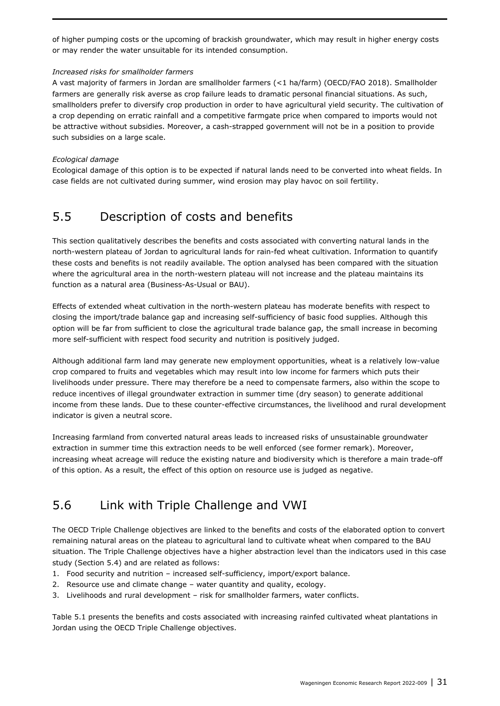of higher pumping costs or the upcoming of brackish groundwater, which may result in higher energy costs or may render the water unsuitable for its intended consumption.

#### *Increased risks for smallholder farmers*

A vast majority of farmers in Jordan are smallholder farmers (<1 ha/farm) (OECD/FAO 2018). Smallholder farmers are generally risk averse as crop failure leads to dramatic personal financial situations. As such, smallholders prefer to diversify crop production in order to have agricultural yield security. The cultivation of a crop depending on erratic rainfall and a competitive farmgate price when compared to imports would not be attractive without subsidies. Moreover, a cash-strapped government will not be in a position to provide such subsidies on a large scale.

#### *Ecological damage*

<span id="page-30-0"></span>Ecological damage of this option is to be expected if natural lands need to be converted into wheat fields. In case fields are not cultivated during summer, wind erosion may play havoc on soil fertility.

## 5.5 Description of costs and benefits

This section qualitatively describes the benefits and costs associated with converting natural lands in the north-western plateau of Jordan to agricultural lands for rain-fed wheat cultivation. Information to quantify these costs and benefits is not readily available. The option analysed has been compared with the situation where the agricultural area in the north-western plateau will not increase and the plateau maintains its function as a natural area (Business-As-Usual or BAU).

Effects of extended wheat cultivation in the north-western plateau has moderate benefits with respect to closing the import/trade balance gap and increasing self-sufficiency of basic food supplies. Although this option will be far from sufficient to close the agricultural trade balance gap, the small increase in becoming more self-sufficient with respect food security and nutrition is positively judged.

Although additional farm land may generate new employment opportunities, wheat is a relatively low-value crop compared to fruits and vegetables which may result into low income for farmers which puts their livelihoods under pressure. There may therefore be a need to compensate farmers, also within the scope to reduce incentives of illegal groundwater extraction in summer time (dry season) to generate additional income from these lands. Due to these counter-effective circumstances, the livelihood and rural development indicator is given a neutral score.

Increasing farmland from converted natural areas leads to increased risks of unsustainable groundwater extraction in summer time this extraction needs to be well enforced (see former remark). Moreover, increasing wheat acreage will reduce the existing nature and biodiversity which is therefore a main trade-off of this option. As a result, the effect of this option on resource use is judged as negative.

## <span id="page-30-1"></span>5.6 Link with Triple Challenge and VWI

The OECD Triple Challenge objectives are linked to the benefits and costs of the elaborated option to convert remaining natural areas on the plateau to agricultural land to cultivate wheat when compared to the BAU situation. The Triple Challenge objectives have a higher abstraction level than the indicators used in this case study (Section 5.4) and are related as follows:

- 1. Food security and nutrition increased self-sufficiency, import/export balance.
- 2. Resource use and climate change water quantity and quality, ecology.
- 3. Livelihoods and rural development risk for smallholder farmers, water conflicts.

Table 5.1 presents the benefits and costs associated with increasing rainfed cultivated wheat plantations in Jordan using the OECD Triple Challenge objectives.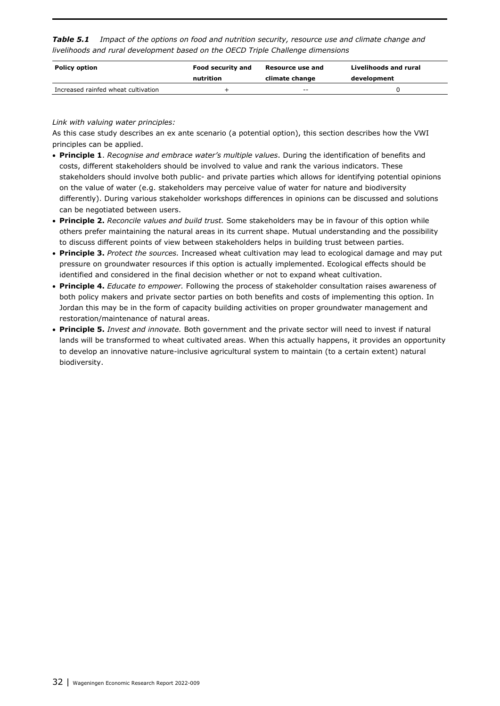*Table 5.1 Impact of the options on food and nutrition security, resource use and climate change and livelihoods and rural development based on the OECD Triple Challenge dimensions*

| <b>Policy option</b>                | Food security and | Resource use and | Livelihoods and rural |
|-------------------------------------|-------------------|------------------|-----------------------|
|                                     | nutrition         | climate change   | development           |
| Increased rainfed wheat cultivation |                   | $- -$            |                       |

#### *Link with valuing water principles:*

As this case study describes an ex ante scenario (a potential option), this section describes how the VWI principles can be applied.

- **Principle 1**. *Recognise and embrace water's multiple values*. During the identification of benefits and costs, different stakeholders should be involved to value and rank the various indicators. These stakeholders should involve both public- and private parties which allows for identifying potential opinions on the value of water (e.g. stakeholders may perceive value of water for nature and biodiversity differently). During various stakeholder workshops differences in opinions can be discussed and solutions can be negotiated between users.
- **Principle 2.** *Reconcile values and build trust.* Some stakeholders may be in favour of this option while others prefer maintaining the natural areas in its current shape. Mutual understanding and the possibility to discuss different points of view between stakeholders helps in building trust between parties.
- **Principle 3.** *Protect the sources.* Increased wheat cultivation may lead to ecological damage and may put pressure on groundwater resources if this option is actually implemented. Ecological effects should be identified and considered in the final decision whether or not to expand wheat cultivation.
- **Principle 4.** *Educate to empower.* Following the process of stakeholder consultation raises awareness of both policy makers and private sector parties on both benefits and costs of implementing this option. In Jordan this may be in the form of capacity building activities on proper groundwater management and restoration/maintenance of natural areas.
- **Principle 5.** *Invest and innovate.* Both government and the private sector will need to invest if natural lands will be transformed to wheat cultivated areas. When this actually happens, it provides an opportunity to develop an innovative nature-inclusive agricultural system to maintain (to a certain extent) natural biodiversity.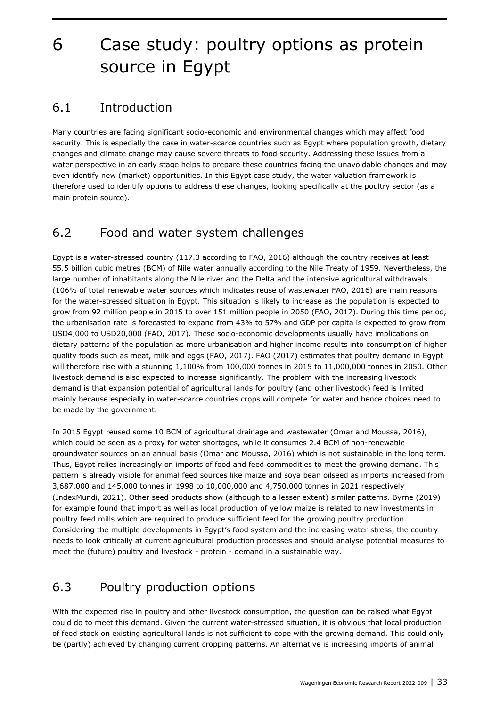# <span id="page-32-0"></span>6 Case study: poultry options as protein source in Egypt

## <span id="page-32-1"></span>6.1 Introduction

Many countries are facing significant socio-economic and environmental changes which may affect food security. This is especially the case in water-scarce countries such as Egypt where population growth, dietary changes and climate change may cause severe threats to food security. Addressing these issues from a water perspective in an early stage helps to prepare these countries facing the unavoidable changes and may even identify new (market) opportunities. In this Egypt case study, the water valuation framework is therefore used to identify options to address these changes, looking specifically at the poultry sector (as a main protein source).

# <span id="page-32-2"></span>6.2 Food and water system challenges

Egypt is a water-stressed country (117.3 according to FAO, 2016) although the country receives at least 55.5 billion cubic metres (BCM) of Nile water annually according to the Nile Treaty of 1959. Nevertheless, the large number of inhabitants along the Nile river and the Delta and the intensive agricultural withdrawals (106% of total renewable water sources which indicates reuse of wastewater FAO, 2016) are main reasons for the water-stressed situation in Egypt. This situation is likely to increase as the population is expected to grow from 92 million people in 2015 to over 151 million people in 2050 (FAO, 2017). During this time period, the urbanisation rate is forecasted to expand from 43% to 57% and GDP per capita is expected to grow from USD4,000 to USD20,000 (FAO, 2017). These socio-economic developments usually have implications on dietary patterns of the population as more urbanisation and higher income results into consumption of higher quality foods such as meat, milk and eggs (FAO, 2017). FAO (2017) estimates that poultry demand in Egypt will therefore rise with a stunning 1,100% from 100,000 tonnes in 2015 to 11,000,000 tonnes in 2050. Other livestock demand is also expected to increase significantly. The problem with the increasing livestock demand is that expansion potential of agricultural lands for poultry (and other livestock) feed is limited mainly because especially in water-scarce countries crops will compete for water and hence choices need to be made by the government.

In 2015 Egypt reused some 10 BCM of agricultural drainage and wastewater (Omar and Moussa, 2016), which could be seen as a proxy for water shortages, while it consumes 2.4 BCM of non-renewable groundwater sources on an annual basis (Omar and Moussa, 2016) which is not sustainable in the long term. Thus, Egypt relies increasingly on imports of food and feed commodities to meet the growing demand. This pattern is already visible for animal feed sources like maize and soya bean oilseed as imports increased from 3,687,000 and 145,000 tonnes in 1998 to 10,000,000 and 4,750,000 tonnes in 2021 respectively (IndexMundi, 2021). Other seed products show (although to a lesser extent) similar patterns. Byrne (2019) for example found that import as well as local production of yellow maize is related to new investments in poultry feed mills which are required to produce sufficient feed for the growing poultry production. Considering the multiple developments in Egypt's food system and the increasing water stress, the country needs to look critically at current agricultural production processes and should analyse potential measures to meet the (future) poultry and livestock - protein - demand in a sustainable way.

# <span id="page-32-3"></span>6.3 Poultry production options

With the expected rise in poultry and other livestock consumption, the question can be raised what Egypt could do to meet this demand. Given the current water-stressed situation, it is obvious that local production of feed stock on existing agricultural lands is not sufficient to cope with the growing demand. This could only be (partly) achieved by changing current cropping patterns. An alternative is increasing imports of animal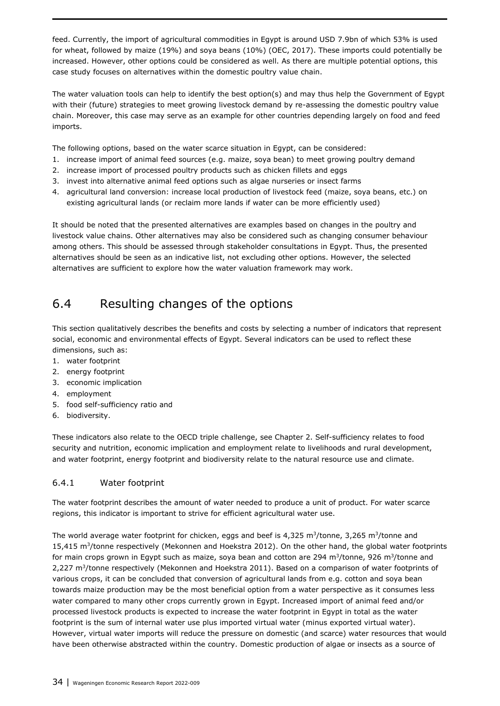feed. Currently, the import of agricultural commodities in Egypt is around USD 7.9bn of which 53% is used for wheat, followed by maize (19%) and soya beans (10%) (OEC, 2017). These imports could potentially be increased. However, other options could be considered as well. As there are multiple potential options, this case study focuses on alternatives within the domestic poultry value chain.

The water valuation tools can help to identify the best option(s) and may thus help the Government of Egypt with their (future) strategies to meet growing livestock demand by re-assessing the domestic poultry value chain. Moreover, this case may serve as an example for other countries depending largely on food and feed imports.

The following options, based on the water scarce situation in Egypt, can be considered:

- 1. increase import of animal feed sources (e.g. maize, soya bean) to meet growing poultry demand
- 2. increase import of processed poultry products such as chicken fillets and eggs
- 3. invest into alternative animal feed options such as algae nurseries or insect farms
- 4. agricultural land conversion: increase local production of livestock feed (maize, soya beans, etc.) on existing agricultural lands (or reclaim more lands if water can be more efficiently used)

It should be noted that the presented alternatives are examples based on changes in the poultry and livestock value chains. Other alternatives may also be considered such as changing consumer behaviour among others. This should be assessed through stakeholder consultations in Egypt. Thus, the presented alternatives should be seen as an indicative list, not excluding other options. However, the selected alternatives are sufficient to explore how the water valuation framework may work.

## <span id="page-33-0"></span>6.4 Resulting changes of the options

This section qualitatively describes the benefits and costs by selecting a number of indicators that represent social, economic and environmental effects of Egypt. Several indicators can be used to reflect these dimensions, such as:

- 1. water footprint
- 2. energy footprint
- 3. economic implication
- 4. employment
- 5. food self-sufficiency ratio and
- 6. biodiversity.

These indicators also relate to the OECD triple challenge, see Chapter 2. Self-sufficiency relates to food security and nutrition, economic implication and employment relate to livelihoods and rural development, and water footprint, energy footprint and biodiversity relate to the natural resource use and climate.

### <span id="page-33-1"></span>6.4.1 Water footprint

The water footprint describes the amount of water needed to produce a unit of product. For water scarce regions, this indicator is important to strive for efficient agricultural water use.

The world average water footprint for chicken, eggs and beef is  $4,325 \text{ m}^3$ /tonne,  $3,265 \text{ m}^3$ /tonne and 15,415 m<sup>3</sup> /tonne respectively (Mekonnen and Hoekstra 2012). On the other hand, the global water footprints for main crops grown in Egypt such as maize, soya bean and cotton are 294 m<sup>3</sup>/tonne, 926 m<sup>3</sup>/tonne and 2,227 m<sup>3</sup>/tonne respectively (Mekonnen and Hoekstra 2011). Based on a comparison of water footprints of various crops, it can be concluded that conversion of agricultural lands from e.g. cotton and soya bean towards maize production may be the most beneficial option from a water perspective as it consumes less water compared to many other crops currently grown in Egypt. Increased import of animal feed and/or processed livestock products is expected to increase the water footprint in Egypt in total as the water footprint is the sum of internal water use plus imported virtual water (minus exported virtual water). However, virtual water imports will reduce the pressure on domestic (and scarce) water resources that would have been otherwise abstracted within the country. Domestic production of algae or insects as a source of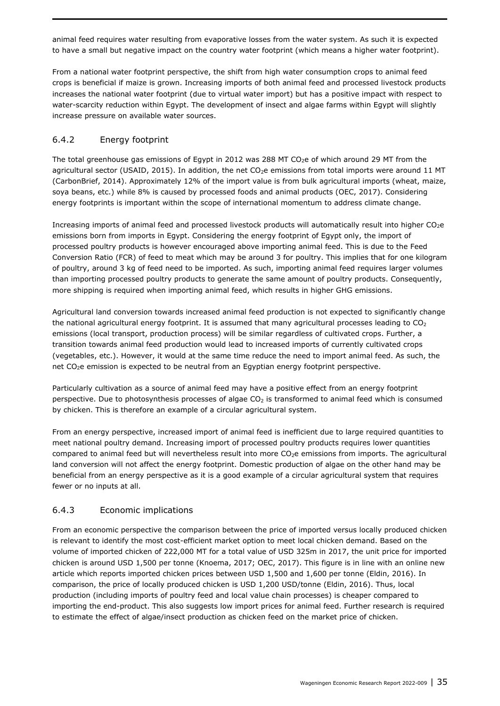animal feed requires water resulting from evaporative losses from the water system. As such it is expected to have a small but negative impact on the country water footprint (which means a higher water footprint).

From a national water footprint perspective, the shift from high water consumption crops to animal feed crops is beneficial if maize is grown. Increasing imports of both animal feed and processed livestock products increases the national water footprint (due to virtual water import) but has a positive impact with respect to water-scarcity reduction within Egypt. The development of insect and algae farms within Egypt will slightly increase pressure on available water sources.

### <span id="page-34-0"></span>6.4.2 Energy footprint

The total greenhouse gas emissions of Egypt in 2012 was 288 MT CO<sub>2</sub>e of which around 29 MT from the agricultural sector (USAID, 2015). In addition, the net CO<sub>2</sub>e emissions from total imports were around 11 MT (CarbonBrief, 2014). Approximately 12% of the import value is from bulk agricultural imports (wheat, maize, soya beans, etc.) while 8% is caused by processed foods and animal products (OEC, 2017). Considering energy footprints is important within the scope of international momentum to address climate change.

Increasing imports of animal feed and processed livestock products will automatically result into higher CO2e emissions born from imports in Egypt. Considering the energy footprint of Egypt only, the import of processed poultry products is however encouraged above importing animal feed. This is due to the Feed Conversion Ratio (FCR) of feed to meat which may be around 3 for poultry. This implies that for one kilogram of poultry, around 3 kg of feed need to be imported. As such, importing animal feed requires larger volumes than importing processed poultry products to generate the same amount of poultry products. Consequently, more shipping is required when importing animal feed, which results in higher GHG emissions.

Agricultural land conversion towards increased animal feed production is not expected to significantly change the national agricultural energy footprint. It is assumed that many agricultural processes leading to  $CO<sub>2</sub>$ emissions (local transport, production process) will be similar regardless of cultivated crops. Further, a transition towards animal feed production would lead to increased imports of currently cultivated crops (vegetables, etc.). However, it would at the same time reduce the need to import animal feed. As such, the net CO2e emission is expected to be neutral from an Egyptian energy footprint perspective.

Particularly cultivation as a source of animal feed may have a positive effect from an energy footprint perspective. Due to photosynthesis processes of algae  $CO<sub>2</sub>$  is transformed to animal feed which is consumed by chicken. This is therefore an example of a circular agricultural system.

From an energy perspective, increased import of animal feed is inefficient due to large required quantities to meet national poultry demand. Increasing import of processed poultry products requires lower quantities compared to animal feed but will nevertheless result into more CO<sub>2</sub>e emissions from imports. The agricultural land conversion will not affect the energy footprint. Domestic production of algae on the other hand may be beneficial from an energy perspective as it is a good example of a circular agricultural system that requires fewer or no inputs at all.

## <span id="page-34-1"></span>6.4.3 Economic implications

From an economic perspective the comparison between the price of imported versus locally produced chicken is relevant to identify the most cost-efficient market option to meet local chicken demand. Based on the volume of imported chicken of 222,000 MT for a total value of USD 325m in 2017, the unit price for imported chicken is around USD 1,500 per tonne (Knoema, 2017; OEC, 2017). This figure is in line with an online new article which reports imported chicken prices between USD 1,500 and 1,600 per tonne (Eldin, 2016). In comparison, the price of locally produced chicken is USD 1,200 USD/tonne (Eldin, 2016). Thus, local production (including imports of poultry feed and local value chain processes) is cheaper compared to importing the end-product. This also suggests low import prices for animal feed. Further research is required to estimate the effect of algae/insect production as chicken feed on the market price of chicken.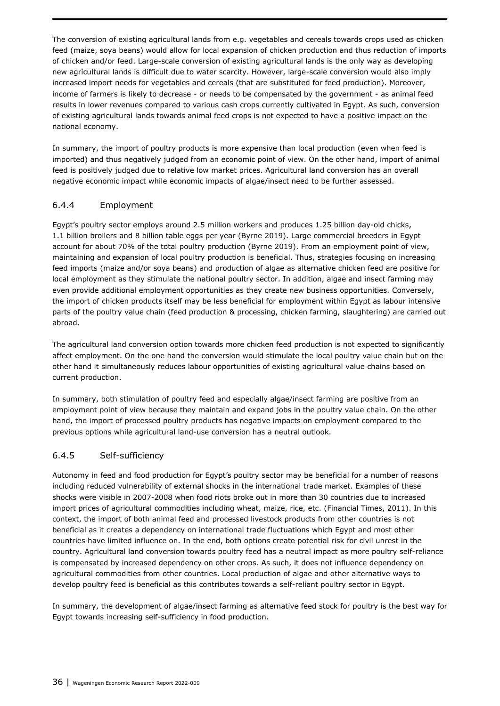The conversion of existing agricultural lands from e.g. vegetables and cereals towards crops used as chicken feed (maize, soya beans) would allow for local expansion of chicken production and thus reduction of imports of chicken and/or feed. Large-scale conversion of existing agricultural lands is the only way as developing new agricultural lands is difficult due to water scarcity. However, large-scale conversion would also imply increased import needs for vegetables and cereals (that are substituted for feed production). Moreover, income of farmers is likely to decrease - or needs to be compensated by the government - as animal feed results in lower revenues compared to various cash crops currently cultivated in Egypt. As such, conversion of existing agricultural lands towards animal feed crops is not expected to have a positive impact on the national economy.

In summary, the import of poultry products is more expensive than local production (even when feed is imported) and thus negatively judged from an economic point of view. On the other hand, import of animal feed is positively judged due to relative low market prices. Agricultural land conversion has an overall negative economic impact while economic impacts of algae/insect need to be further assessed.

## <span id="page-35-0"></span>6.4.4 Employment

Egypt's poultry sector employs around 2.5 million workers and produces 1.25 billion day-old chicks, 1.1 billion broilers and 8 billion table eggs per year (Byrne 2019). Large commercial breeders in Egypt account for about 70% of the total poultry production (Byrne 2019). From an employment point of view, maintaining and expansion of local poultry production is beneficial. Thus, strategies focusing on increasing feed imports (maize and/or soya beans) and production of algae as alternative chicken feed are positive for local employment as they stimulate the national poultry sector. In addition, algae and insect farming may even provide additional employment opportunities as they create new business opportunities. Conversely, the import of chicken products itself may be less beneficial for employment within Egypt as labour intensive parts of the poultry value chain (feed production & processing, chicken farming, slaughtering) are carried out abroad.

The agricultural land conversion option towards more chicken feed production is not expected to significantly affect employment. On the one hand the conversion would stimulate the local poultry value chain but on the other hand it simultaneously reduces labour opportunities of existing agricultural value chains based on current production.

In summary, both stimulation of poultry feed and especially algae/insect farming are positive from an employment point of view because they maintain and expand jobs in the poultry value chain. On the other hand, the import of processed poultry products has negative impacts on employment compared to the previous options while agricultural land-use conversion has a neutral outlook.

## <span id="page-35-1"></span>6.4.5 Self-sufficiency

Autonomy in feed and food production for Egypt's poultry sector may be beneficial for a number of reasons including reduced vulnerability of external shocks in the international trade market. Examples of these shocks were visible in 2007-2008 when food riots broke out in more than 30 countries due to increased import prices of agricultural commodities including wheat, maize, rice, etc. (Financial Times, 2011). In this context, the import of both animal feed and processed livestock products from other countries is not beneficial as it creates a dependency on international trade fluctuations which Egypt and most other countries have limited influence on. In the end, both options create potential risk for civil unrest in the country. Agricultural land conversion towards poultry feed has a neutral impact as more poultry self-reliance is compensated by increased dependency on other crops. As such, it does not influence dependency on agricultural commodities from other countries. Local production of algae and other alternative ways to develop poultry feed is beneficial as this contributes towards a self-reliant poultry sector in Egypt.

In summary, the development of algae/insect farming as alternative feed stock for poultry is the best way for Egypt towards increasing self-sufficiency in food production.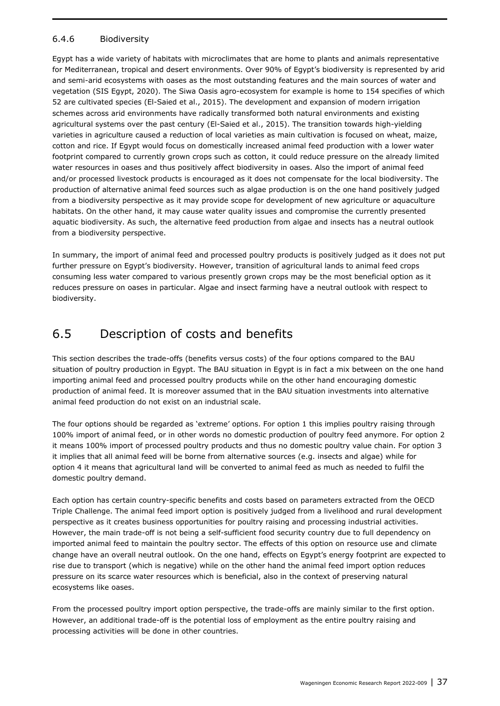### <span id="page-36-0"></span>6.4.6 Biodiversity

Egypt has a wide variety of habitats with microclimates that are home to plants and animals representative for Mediterranean, tropical and desert environments. Over 90% of Egypt's biodiversity is represented by arid and semi-arid ecosystems with oases as the most outstanding features and the main sources of water and vegetation (SIS Egypt, 2020). The Siwa Oasis agro-ecosystem for example is home to 154 specifies of which 52 are cultivated species (El-Saied et al., 2015). The development and expansion of modern irrigation schemes across arid environments have radically transformed both natural environments and existing agricultural systems over the past century (El-Saied et al., 2015). The transition towards high-yielding varieties in agriculture caused a reduction of local varieties as main cultivation is focused on wheat, maize, cotton and rice. If Egypt would focus on domestically increased animal feed production with a lower water footprint compared to currently grown crops such as cotton, it could reduce pressure on the already limited water resources in oases and thus positively affect biodiversity in oases. Also the import of animal feed and/or processed livestock products is encouraged as it does not compensate for the local biodiversity. The production of alternative animal feed sources such as algae production is on the one hand positively judged from a biodiversity perspective as it may provide scope for development of new agriculture or aquaculture habitats. On the other hand, it may cause water quality issues and compromise the currently presented aquatic biodiversity. As such, the alternative feed production from algae and insects has a neutral outlook from a biodiversity perspective.

In summary, the import of animal feed and processed poultry products is positively judged as it does not put further pressure on Egypt's biodiversity. However, transition of agricultural lands to animal feed crops consuming less water compared to various presently grown crops may be the most beneficial option as it reduces pressure on oases in particular. Algae and insect farming have a neutral outlook with respect to biodiversity.

## <span id="page-36-1"></span>6.5 Description of costs and benefits

This section describes the trade-offs (benefits versus costs) of the four options compared to the BAU situation of poultry production in Egypt. The BAU situation in Egypt is in fact a mix between on the one hand importing animal feed and processed poultry products while on the other hand encouraging domestic production of animal feed. It is moreover assumed that in the BAU situation investments into alternative animal feed production do not exist on an industrial scale.

The four options should be regarded as 'extreme' options. For option 1 this implies poultry raising through 100% import of animal feed, or in other words no domestic production of poultry feed anymore. For option 2 it means 100% import of processed poultry products and thus no domestic poultry value chain. For option 3 it implies that all animal feed will be borne from alternative sources (e.g. insects and algae) while for option 4 it means that agricultural land will be converted to animal feed as much as needed to fulfil the domestic poultry demand.

Each option has certain country-specific benefits and costs based on parameters extracted from the OECD Triple Challenge. The animal feed import option is positively judged from a livelihood and rural development perspective as it creates business opportunities for poultry raising and processing industrial activities. However, the main trade-off is not being a self-sufficient food security country due to full dependency on imported animal feed to maintain the poultry sector. The effects of this option on resource use and climate change have an overall neutral outlook. On the one hand, effects on Egypt's energy footprint are expected to rise due to transport (which is negative) while on the other hand the animal feed import option reduces pressure on its scarce water resources which is beneficial, also in the context of preserving natural ecosystems like oases.

From the processed poultry import option perspective, the trade-offs are mainly similar to the first option. However, an additional trade-off is the potential loss of employment as the entire poultry raising and processing activities will be done in other countries.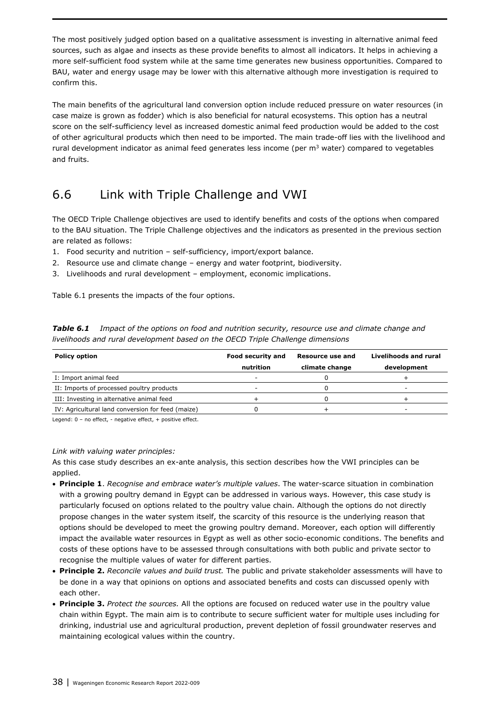The most positively judged option based on a qualitative assessment is investing in alternative animal feed sources, such as algae and insects as these provide benefits to almost all indicators. It helps in achieving a more self-sufficient food system while at the same time generates new business opportunities. Compared to BAU, water and energy usage may be lower with this alternative although more investigation is required to confirm this.

The main benefits of the agricultural land conversion option include reduced pressure on water resources (in case maize is grown as fodder) which is also beneficial for natural ecosystems. This option has a neutral score on the self-sufficiency level as increased domestic animal feed production would be added to the cost of other agricultural products which then need to be imported. The main trade-off lies with the livelihood and rural development indicator as animal feed generates less income (per  $m<sup>3</sup>$  water) compared to vegetables and fruits.

# <span id="page-37-0"></span>6.6 Link with Triple Challenge and VWI

The OECD Triple Challenge objectives are used to identify benefits and costs of the options when compared to the BAU situation. The Triple Challenge objectives and the indicators as presented in the previous section are related as follows:

- 1. Food security and nutrition self-sufficiency, import/export balance.
- 2. Resource use and climate change energy and water footprint, biodiversity.
- 3. Livelihoods and rural development employment, economic implications.

Table 6.1 presents the impacts of the four options.

| <b>Table 6.1</b> Impact of the options on food and nutrition security, resource use and climate change and |
|------------------------------------------------------------------------------------------------------------|
| livelihoods and rural development based on the OECD Triple Challenge dimensions                            |

| <b>Policy option</b>                              | <b>Food security and</b> | Resource use and | Livelihoods and rural |
|---------------------------------------------------|--------------------------|------------------|-----------------------|
|                                                   | nutrition                | climate change   | development           |
| I: Import animal feed                             | -                        |                  |                       |
| II: Imports of processed poultry products         | $\overline{\phantom{a}}$ |                  | -                     |
| III: Investing in alternative animal feed         |                          |                  |                       |
| IV: Agricultural land conversion for feed (maize) |                          |                  |                       |
|                                                   |                          |                  |                       |

Legend: 0 – no effect, - negative effect, + positive effect.

#### *Link with valuing water principles:*

As this case study describes an ex-ante analysis, this section describes how the VWI principles can be applied.

- **Principle 1**. *Recognise and embrace water's multiple values*. The water-scarce situation in combination with a growing poultry demand in Egypt can be addressed in various ways. However, this case study is particularly focused on options related to the poultry value chain. Although the options do not directly propose changes in the water system itself, the scarcity of this resource is the underlying reason that options should be developed to meet the growing poultry demand. Moreover, each option will differently impact the available water resources in Egypt as well as other socio-economic conditions. The benefits and costs of these options have to be assessed through consultations with both public and private sector to recognise the multiple values of water for different parties.
- **Principle 2.** *Reconcile values and build trust.* The public and private stakeholder assessments will have to be done in a way that opinions on options and associated benefits and costs can discussed openly with each other.
- **Principle 3.** *Protect the sources.* All the options are focused on reduced water use in the poultry value chain within Egypt. The main aim is to contribute to secure sufficient water for multiple uses including for drinking, industrial use and agricultural production, prevent depletion of fossil groundwater reserves and maintaining ecological values within the country.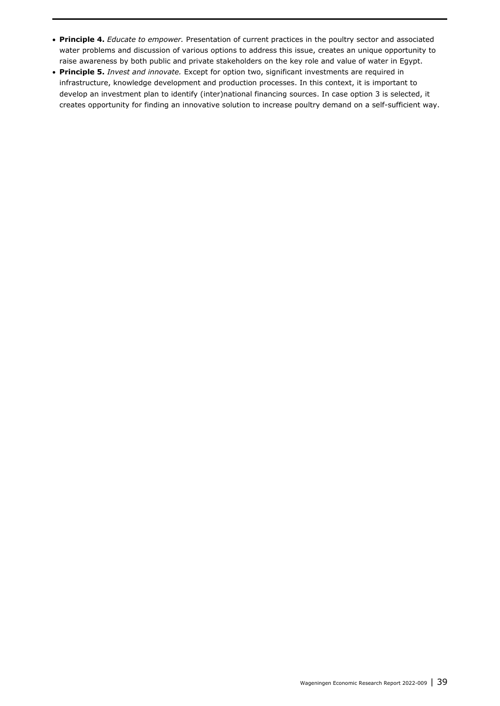- **Principle 4.** *Educate to empower.* Presentation of current practices in the poultry sector and associated water problems and discussion of various options to address this issue, creates an unique opportunity to raise awareness by both public and private stakeholders on the key role and value of water in Egypt.
- **Principle 5.** *Invest and innovate.* Except for option two, significant investments are required in infrastructure, knowledge development and production processes. In this context, it is important to develop an investment plan to identify (inter)national financing sources. In case option 3 is selected, it creates opportunity for finding an innovative solution to increase poultry demand on a self-sufficient way.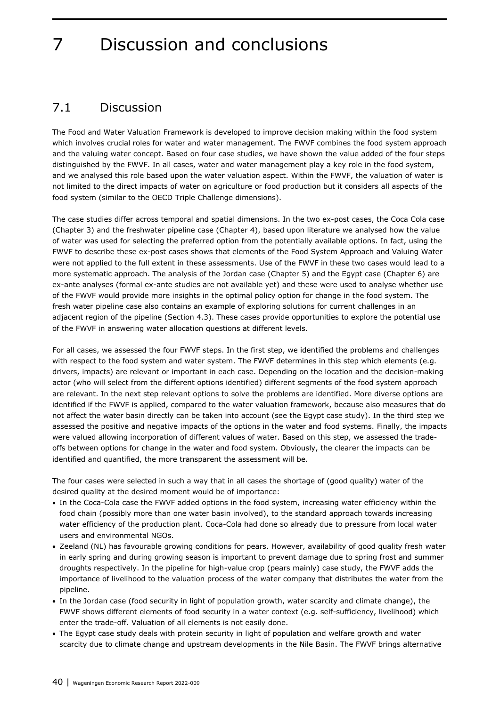# <span id="page-39-0"></span>7 Discussion and conclusions

## <span id="page-39-1"></span>7.1 Discussion

The Food and Water Valuation Framework is developed to improve decision making within the food system which involves crucial roles for water and water management. The FWVF combines the food system approach and the valuing water concept. Based on four case studies, we have shown the value added of the four steps distinguished by the FWVF. In all cases, water and water management play a key role in the food system, and we analysed this role based upon the water valuation aspect. Within the FWVF, the valuation of water is not limited to the direct impacts of water on agriculture or food production but it considers all aspects of the food system (similar to the OECD Triple Challenge dimensions).

The case studies differ across temporal and spatial dimensions. In the two ex-post cases, the Coca Cola case (Chapter 3) and the freshwater pipeline case (Chapter 4), based upon literature we analysed how the value of water was used for selecting the preferred option from the potentially available options. In fact, using the FWVF to describe these ex-post cases shows that elements of the Food System Approach and Valuing Water were not applied to the full extent in these assessments. Use of the FWVF in these two cases would lead to a more systematic approach. The analysis of the Jordan case (Chapter 5) and the Egypt case (Chapter 6) are ex-ante analyses (formal ex-ante studies are not available yet) and these were used to analyse whether use of the FWVF would provide more insights in the optimal policy option for change in the food system. The fresh water pipeline case also contains an example of exploring solutions for current challenges in an adjacent region of the pipeline (Section 4.3). These cases provide opportunities to explore the potential use of the FWVF in answering water allocation questions at different levels.

For all cases, we assessed the four FWVF steps. In the first step, we identified the problems and challenges with respect to the food system and water system. The FWVF determines in this step which elements (e.g. drivers, impacts) are relevant or important in each case. Depending on the location and the decision-making actor (who will select from the different options identified) different segments of the food system approach are relevant. In the next step relevant options to solve the problems are identified. More diverse options are identified if the FWVF is applied, compared to the water valuation framework, because also measures that do not affect the water basin directly can be taken into account (see the Egypt case study). In the third step we assessed the positive and negative impacts of the options in the water and food systems. Finally, the impacts were valued allowing incorporation of different values of water. Based on this step, we assessed the tradeoffs between options for change in the water and food system. Obviously, the clearer the impacts can be identified and quantified, the more transparent the assessment will be.

The four cases were selected in such a way that in all cases the shortage of (good quality) water of the desired quality at the desired moment would be of importance:

- In the Coca-Cola case the FWVF added options in the food system, increasing water efficiency within the food chain (possibly more than one water basin involved), to the standard approach towards increasing water efficiency of the production plant. Coca-Cola had done so already due to pressure from local water users and environmental NGOs.
- Zeeland (NL) has favourable growing conditions for pears. However, availability of good quality fresh water in early spring and during growing season is important to prevent damage due to spring frost and summer droughts respectively. In the pipeline for high-value crop (pears mainly) case study, the FWVF adds the importance of livelihood to the valuation process of the water company that distributes the water from the pipeline.
- In the Jordan case (food security in light of population growth, water scarcity and climate change), the FWVF shows different elements of food security in a water context (e.g. self-sufficiency, livelihood) which enter the trade-off. Valuation of all elements is not easily done.
- The Egypt case study deals with protein security in light of population and welfare growth and water scarcity due to climate change and upstream developments in the Nile Basin. The FWVF brings alternative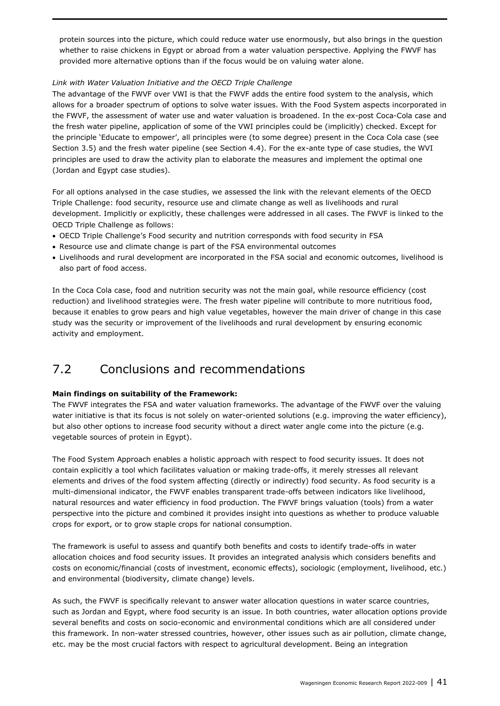protein sources into the picture, which could reduce water use enormously, but also brings in the question whether to raise chickens in Egypt or abroad from a water valuation perspective. Applying the FWVF has provided more alternative options than if the focus would be on valuing water alone.

#### *Link with Water Valuation Initiative and the OECD Triple Challenge*

The advantage of the FWVF over VWI is that the FWVF adds the entire food system to the analysis, which allows for a broader spectrum of options to solve water issues. With the Food System aspects incorporated in the FWVF, the assessment of water use and water valuation is broadened. In the ex-post Coca-Cola case and the fresh water pipeline, application of some of the VWI principles could be (implicitly) checked. Except for the principle 'Educate to empower', all principles were (to some degree) present in the Coca Cola case (see Section 3.5) and the fresh water pipeline (see Section 4.4). For the ex-ante type of case studies, the WVI principles are used to draw the activity plan to elaborate the measures and implement the optimal one (Jordan and Egypt case studies).

For all options analysed in the case studies, we assessed the link with the relevant elements of the OECD Triple Challenge: food security, resource use and climate change as well as livelihoods and rural development. Implicitly or explicitly, these challenges were addressed in all cases. The FWVF is linked to the OECD Triple Challenge as follows:

- OECD Triple Challenge's Food security and nutrition corresponds with food security in FSA
- Resource use and climate change is part of the FSA environmental outcomes
- Livelihoods and rural development are incorporated in the FSA social and economic outcomes, livelihood is also part of food access.

In the Coca Cola case, food and nutrition security was not the main goal, while resource efficiency (cost reduction) and livelihood strategies were. The fresh water pipeline will contribute to more nutritious food, because it enables to grow pears and high value vegetables, however the main driver of change in this case study was the security or improvement of the livelihoods and rural development by ensuring economic activity and employment.

## <span id="page-40-0"></span>7.2 Conclusions and recommendations

### **Main findings on suitability of the Framework:**

The FWVF integrates the FSA and water valuation frameworks. The advantage of the FWVF over the valuing water initiative is that its focus is not solely on water-oriented solutions (e.g. improving the water efficiency), but also other options to increase food security without a direct water angle come into the picture (e.g. vegetable sources of protein in Egypt).

The Food System Approach enables a holistic approach with respect to food security issues. It does not contain explicitly a tool which facilitates valuation or making trade-offs, it merely stresses all relevant elements and drives of the food system affecting (directly or indirectly) food security. As food security is a multi-dimensional indicator, the FWVF enables transparent trade-offs between indicators like livelihood, natural resources and water efficiency in food production. The FWVF brings valuation (tools) from a water perspective into the picture and combined it provides insight into questions as whether to produce valuable crops for export, or to grow staple crops for national consumption.

The framework is useful to assess and quantify both benefits and costs to identify trade-offs in water allocation choices and food security issues. It provides an integrated analysis which considers benefits and costs on economic/financial (costs of investment, economic effects), sociologic (employment, livelihood, etc.) and environmental (biodiversity, climate change) levels.

As such, the FWVF is specifically relevant to answer water allocation questions in water scarce countries, such as Jordan and Egypt, where food security is an issue. In both countries, water allocation options provide several benefits and costs on socio-economic and environmental conditions which are all considered under this framework. In non-water stressed countries, however, other issues such as air pollution, climate change, etc. may be the most crucial factors with respect to agricultural development. Being an integration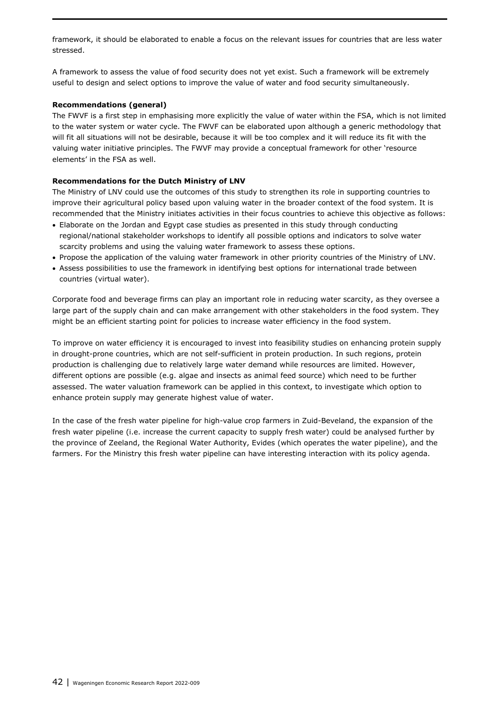framework, it should be elaborated to enable a focus on the relevant issues for countries that are less water stressed.

A framework to assess the value of food security does not yet exist. Such a framework will be extremely useful to design and select options to improve the value of water and food security simultaneously.

#### **Recommendations (general)**

The FWVF is a first step in emphasising more explicitly the value of water within the FSA, which is not limited to the water system or water cycle. The FWVF can be elaborated upon although a generic methodology that will fit all situations will not be desirable, because it will be too complex and it will reduce its fit with the valuing water initiative principles. The FWVF may provide a conceptual framework for other 'resource elements' in the FSA as well.

#### **Recommendations for the Dutch Ministry of LNV**

The Ministry of LNV could use the outcomes of this study to strengthen its role in supporting countries to improve their agricultural policy based upon valuing water in the broader context of the food system. It is recommended that the Ministry initiates activities in their focus countries to achieve this objective as follows:

- Elaborate on the Jordan and Egypt case studies as presented in this study through conducting regional/national stakeholder workshops to identify all possible options and indicators to solve water scarcity problems and using the valuing water framework to assess these options.
- Propose the application of the valuing water framework in other priority countries of the Ministry of LNV.
- Assess possibilities to use the framework in identifying best options for international trade between countries (virtual water).

Corporate food and beverage firms can play an important role in reducing water scarcity, as they oversee a large part of the supply chain and can make arrangement with other stakeholders in the food system. They might be an efficient starting point for policies to increase water efficiency in the food system.

To improve on water efficiency it is encouraged to invest into feasibility studies on enhancing protein supply in drought-prone countries, which are not self-sufficient in protein production. In such regions, protein production is challenging due to relatively large water demand while resources are limited. However, different options are possible (e.g. algae and insects as animal feed source) which need to be further assessed. The water valuation framework can be applied in this context, to investigate which option to enhance protein supply may generate highest value of water.

In the case of the fresh water pipeline for high-value crop farmers in Zuid-Beveland, the expansion of the fresh water pipeline (i.e. increase the current capacity to supply fresh water) could be analysed further by the province of Zeeland, the Regional Water Authority, Evides (which operates the water pipeline), and the farmers. For the Ministry this fresh water pipeline can have interesting interaction with its policy agenda.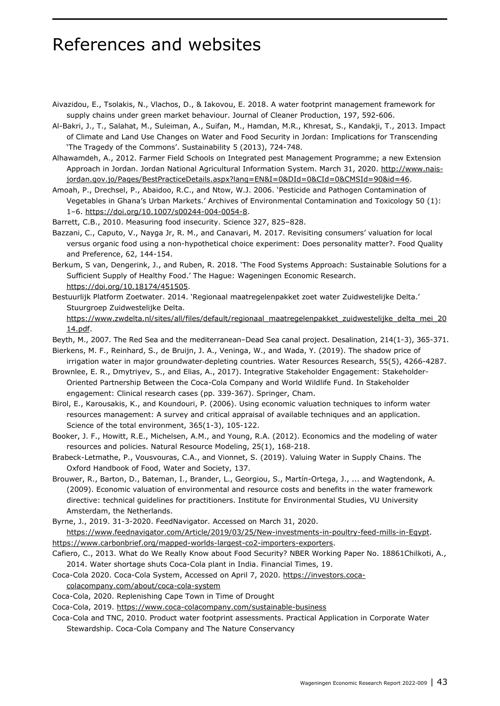# <span id="page-42-0"></span>References and websites

- Aivazidou, E., Tsolakis, N., Vlachos, D., & Iakovou, E. 2018. A water footprint management framework for supply chains under green market behaviour. Journal of Cleaner Production, 197, 592-606.
- Al-Bakri, J., T., Salahat, M., Suleiman, A., Suifan, M., Hamdan, M.R., Khresat, S., Kandakji, T., 2013. Impact of Climate and Land Use Changes on Water and Food Security in Jordan: Implications for Transcending 'The Tragedy of the Commons'. Sustainability 5 (2013), 724-748.
- Alhawamdeh, A., 2012. Farmer Field Schools on Integrated pest Management Programme; a new Extension Approach in Jordan. Jordan National Agricultural Information System. March 31, 2020. [http://www.nais](http://www.nais-jordan.gov.jo/Pages/BestPracticeDetails.aspx?lang=EN&I=0&DId=0&CId=0&CMSId=90&id=46)[jordan.gov.jo/Pages/BestPracticeDetails.aspx?lang=EN&I=0&DId=0&CId=0&CMSId=90&id=46.](http://www.nais-jordan.gov.jo/Pages/BestPracticeDetails.aspx?lang=EN&I=0&DId=0&CId=0&CMSId=90&id=46)
- Amoah, P., Drechsel, P., Abaidoo, R.C., and Ntow, W.J. 2006. 'Pesticide and Pathogen Contamination of Vegetables in Ghana's Urban Markets.' Archives of Environmental Contamination and Toxicology 50 (1): 1–6. [https://doi.org/10.1007/s00244-004-0054-8.](https://doi.org/10.1007/s00244-004-0054-8)

Barrett, C.B., 2010. Measuring food insecurity. Science 327, 825–828.

- Bazzani, C., Caputo, V., Nayga Jr, R. M., and Canavari, M. 2017. Revisiting consumers' valuation for local versus organic food using a non-hypothetical choice experiment: Does personality matter?. Food Quality and Preference, 62, 144-154.
- Berkum, S van, Dengerink, J., and Ruben, R. 2018. 'The Food Systems Approach: Sustainable Solutions for a Sufficient Supply of Healthy Food.' The Hague: Wageningen Economic Research. [https://doi.org/10.18174/451505.](https://doi.org/10.18174/451505)
- Bestuurlijk Platform Zoetwater. 2014. 'Regionaal maatregelenpakket zoet water Zuidwestelijke Delta.' Stuurgroep Zuidwestelijke Delta. [https://www.zwdelta.nl/sites/all/files/default/regionaal\\_maatregelenpakket\\_zuidwestelijke\\_delta\\_mei\\_20](https://www.zwdelta.nl/sites/all/files/default/regionaal_maatregelenpakket_zuidwestelijke_delta_mei_2014.pdf) [14.pdf.](https://www.zwdelta.nl/sites/all/files/default/regionaal_maatregelenpakket_zuidwestelijke_delta_mei_2014.pdf)

Beyth, M., 2007. The Red Sea and the mediterranean–Dead Sea canal project. Desalination, 214(1-3), 365-371.

- Bierkens, M. F., Reinhard, S., de Bruijn, J. A., Veninga, W., and Wada, Y. (2019). The shadow price of irrigation water in major groundwater‐depleting countries. Water Resources Research, 55(5), 4266-4287.
- Brownlee, E. R., Dmytriyev, S., and Elias, A., 2017). Integrative Stakeholder Engagement: Stakeholder-Oriented Partnership Between the Coca-Cola Company and World Wildlife Fund. In Stakeholder engagement: Clinical research cases (pp. 339-367). Springer, Cham.
- Birol, E., Karousakis, K., and Koundouri, P. (2006). Using economic valuation techniques to inform water resources management: A survey and critical appraisal of available techniques and an application. Science of the total environment, 365(1-3), 105-122.
- Booker, J. F., Howitt, R.E., Michelsen, A.M., and Young, R.A. (2012). Economics and the modeling of water resources and policies. Natural Resource Modeling, 25(1), 168-218.
- Brabeck-Letmathe, P., Vousvouras, C.A., and Vionnet, S. (2019). Valuing Water in Supply Chains. The Oxford Handbook of Food, Water and Society, 137.
- Brouwer, R., Barton, D., Bateman, I., Brander, L., Georgiou, S., Martín-Ortega, J., ... and Wagtendonk, A. (2009). Economic valuation of environmental and resource costs and benefits in the water framework directive: technical guidelines for practitioners. Institute for Environmental Studies, VU University Amsterdam, the Netherlands.

Byrne, J., 2019. 31-3-2020. FeedNavigator. Accessed on March 31, 2020.

[https://www.feednavigator.com/Article/2019/03/25/New-investments-in-poultry-feed-mills-in-Egypt.](https://www.feednavigator.com/Article/2019/03/25/New-investments-in-poultry-feed-mills-in-Egypt) [https://www.carbonbrief.org/mapped-worlds-largest-co2-importers-exporters.](https://www.carbonbrief.org/mapped-worlds-largest-co2-importers-exporters)

Cafiero, C., 2013. What do We Really Know about Food Security? NBER Working Paper No. 18861Chilkoti, A., 2014. Water shortage shuts Coca-Cola plant in India. Financial Times, 19.

Coca-Cola 2020. Coca-Cola System, Accessed on April 7, 2020. [https://investors.coca-](https://investors.coca-colacompany.com/about/coca-cola-system)

[colacompany.com/about/coca-cola-system](https://investors.coca-colacompany.com/about/coca-cola-system)

Coca-Cola, 2020. Replenishing Cape Town in Time of Drought

Coca-Cola, 2019.<https://www.coca-colacompany.com/sustainable-business>

Coca-Cola and TNC, 2010. Product water footprint assessments. Practical Application in Corporate Water Stewardship. Coca-Cola Company and The Nature Conservancy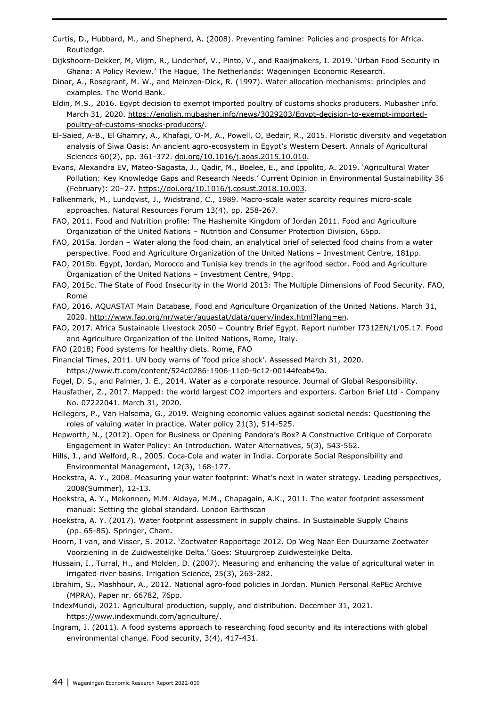Curtis, D., Hubbard, M., and Shepherd, A. (2008). Preventing famine: Policies and prospects for Africa. Routledge.

Dijkshoorn-Dekker, M, Vlijm, R., Linderhof, V., Pinto, V., and Raaijmakers, I. 2019. 'Urban Food Security in Ghana: A Policy Review.' The Hague, The Netherlands: Wageningen Economic Research.

Dinar, A., Rosegrant, M. W., and Meinzen-Dick, R. (1997). Water allocation mechanisms: principles and examples. The World Bank.

Eldin, M.S., 2016. Egypt decision to exempt imported poultry of customs shocks producers. Mubasher Info. March 31, 2020. [https://english.mubasher.info/news/3029203/Egypt-decision-to-exempt-imported](https://english.mubasher.info/news/3029203/Egypt-decision-to-exempt-imported-poultry-of-customs-shocks-producers/)[poultry-of-customs-shocks-producers/.](https://english.mubasher.info/news/3029203/Egypt-decision-to-exempt-imported-poultry-of-customs-shocks-producers/)

El-Saied, A-B., El Ghamry, A., Khafagi, O-M, A., Powell, O, Bedair, R., 2015. Floristic diversity and vegetation analysis of Siwa Oasis: An ancient agro-ecosystem in Egypt's Western Desert. Annals of Agricultural Sciences 60(2), pp. 361-372. [doi.org/10.1016/j.aoas.2015.10.010.](https://doi.org/10.1016/j.aoas.2015.10.010)

Evans, Alexandra EV, Mateo-Sagasta, J., Qadir, M., Boelee, E., and Ippolito, A. 2019. 'Agricultural Water Pollution: Key Knowledge Gaps and Research Needs.' Current Opinion in Environmental Sustainability 36 (February): 20–27. [https://doi.org/10.1016/j.cosust.2018.10.003.](https://doi.org/10.1016/j.cosust.2018.10.003)

Falkenmark, M., Lundqvist, J., Widstrand, C., 1989. Macro-scale water scarcity requires micro-scale approaches. Natural Resources Forum 13(4), pp. 258-267.

FAO, 2011. Food and Nutrition profile: The Hashemite Kingdom of Jordan 2011. Food and Agriculture Organization of the United Nations – Nutrition and Consumer Protection Division, 65pp.

FAO, 2015a. Jordan – Water along the food chain, an analytical brief of selected food chains from a water perspective. Food and Agriculture Organization of the United Nations – Investment Centre, 181pp.

FAO, 2015b. Egypt, Jordan, Morocco and Tunisia key trends in the agrifood sector. Food and Agriculture Organization of the United Nations – Investment Centre, 94pp.

FAO, 2015c. The State of Food Insecurity in the World 2013: The Multiple Dimensions of Food Security. FAO, Rome

FAO, 2016. AQUASTAT Main Database, Food and Agriculture Organization of the United Nations. March 31, 2020. [http://www.fao.org/nr/water/aquastat/data/query/index.html?lang=en.](http://www.fao.org/nr/water/aquastat/data/query/index.html?lang=en)

FAO, 2017. Africa Sustainable Livestock 2050 – Country Brief Egypt. Report number I7312EN/1/05.17. Food and Agriculture Organization of the United Nations, Rome, Italy.

FAO (2018) Food systems for healthy diets. Rome, FAO

Financial Times, 2011. UN body warns of 'food price shock'. Assessed March 31, 2020.

[https://www.ft.com/content/524c0286-1906-11e0-9c12-00144feab49a.](https://www.ft.com/content/524c0286-1906-11e0-9c12-00144feab49a)

Fogel, D. S., and Palmer, J. E., 2014. Water as a corporate resource. Journal of Global Responsibility.

Hausfather, Z., 2017. Mapped: the world largest CO2 importers and exporters. Carbon Brief Ltd - Company No. 07222041. March 31, 2020.

Hellegers, P., Van Halsema, G., 2019. Weighing economic values against societal needs: Questioning the roles of valuing water in practice. Water policy 21(3), 514-525.

Hepworth, N., (2012). Open for Business or Opening Pandora's Box? A Constructive Critique of Corporate Engagement in Water Policy: An Introduction. Water Alternatives, 5(3), 543-562.

Hills, J., and Welford, R., 2005. Coca‐Cola and water in India. Corporate Social Responsibility and Environmental Management, 12(3), 168-177.

Hoekstra, A. Y., 2008. Measuring your water footprint: What's next in water strategy. Leading perspectives, 2008(Summer), 12-13.

Hoekstra, A. Y., Mekonnen, M.M. Aldaya, M.M., Chapagain, A.K., 2011. The water footprint assessment manual: Setting the global standard. London Earthscan

Hoekstra, A. Y. (2017). Water footprint assessment in supply chains. In Sustainable Supply Chains (pp. 65-85). Springer, Cham.

Hoorn, I van, and Visser, S. 2012. 'Zoetwater Rapportage 2012. Op Weg Naar Een Duurzame Zoetwater Voorziening in de Zuidwestelijke Delta.' Goes: Stuurgroep Zuidwestelijke Delta.

Hussain, I., Turral, H., and Molden, D. (2007). Measuring and enhancing the value of agricultural water in irrigated river basins. Irrigation Science, 25(3), 263-282.

Ibrahim, S., Mashhour, A., 2012. National agro-food policies in Jordan. Munich Personal RePEc Archive (MPRA). Paper nr. 66782, 76pp.

IndexMundi, 2021. Agricultural production, supply, and distribution. December 31, 2021. [https://www.indexmundi.com/agriculture/.](https://www.indexmundi.com/agriculture/)

Ingram, J. (2011). A food systems approach to researching food security and its interactions with global environmental change. Food security, 3(4), 417-431.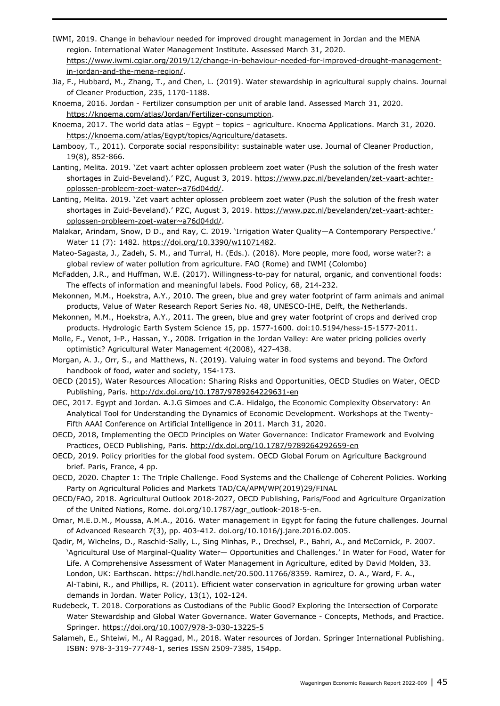- IWMI, 2019. Change in behaviour needed for improved drought management in Jordan and the MENA region. International Water Management Institute. Assessed March 31, 2020. [https://www.iwmi.cgiar.org/2019/12/change-in-behaviour-needed-for-improved-drought-management](https://www.iwmi.cgiar.org/2019/12/change-in-behaviour-needed-for-improved-drought-management-in-jordan-and-the-mena-region/)[in-jordan-and-the-mena-region/.](https://www.iwmi.cgiar.org/2019/12/change-in-behaviour-needed-for-improved-drought-management-in-jordan-and-the-mena-region/)
- Jia, F., Hubbard, M., Zhang, T., and Chen, L. (2019). Water stewardship in agricultural supply chains. Journal of Cleaner Production, 235, 1170-1188.
- Knoema, 2016. Jordan Fertilizer consumption per unit of arable land. Assessed March 31, 2020. [https://knoema.com/atlas/Jordan/Fertilizer-consumption.](https://knoema.com/atlas/Jordan/Fertilizer-consumption)
- Knoema, 2017. The world data atlas Egypt topics agriculture. Knoema Applications. March 31, 2020. [https://knoema.com/atlas/Egypt/topics/Agriculture/datasets.](https://knoema.com/atlas/Egypt/topics/Agriculture/datasets)
- Lambooy, T., 2011). Corporate social responsibility: sustainable water use. Journal of Cleaner Production, 19(8), 852-866.
- Lanting, Melita. 2019. 'Zet vaart achter oplossen probleem zoet water (Push the solution of the fresh water shortages in Zuid-Beveland).' PZC, August 3, 2019. [https://www.pzc.nl/bevelanden/zet-vaart-achter](https://www.pzc.nl/bevelanden/zet-vaart-achter-oplossen-probleem-zoet-water~a76d04dd/)[oplossen-probleem-zoet-water~a76d04dd/.](https://www.pzc.nl/bevelanden/zet-vaart-achter-oplossen-probleem-zoet-water~a76d04dd/)
- Lanting, Melita. 2019. 'Zet vaart achter oplossen probleem zoet water (Push the solution of the fresh water shortages in Zuid-Beveland).' PZC, August 3, 2019. [https://www.pzc.nl/bevelanden/zet-vaart-achter](https://www.pzc.nl/bevelanden/zet-vaart-achter-oplossen-probleem-zoet-water~a76d04dd/)[oplossen-probleem-zoet-water~a76d04dd/.](https://www.pzc.nl/bevelanden/zet-vaart-achter-oplossen-probleem-zoet-water~a76d04dd/)
- Malakar, Arindam, Snow, D D., and Ray, C. 2019. 'Irrigation Water Quality—A Contemporary Perspective.' Water 11 (7): 1482. [https://doi.org/10.3390/w11071482.](https://doi.org/10.3390/w11071482)
- Mateo-Sagasta, J., Zadeh, S. M., and Turral, H. (Eds.). (2018). More people, more food, worse water?: a global review of water pollution from agriculture. FAO (Rome) and IWMI (Colombo)
- McFadden, J.R., and Huffman, W.E. (2017). Willingness-to-pay for natural, organic, and conventional foods: The effects of information and meaningful labels. Food Policy, 68, 214-232.
- Mekonnen, M.M., Hoekstra, A.Y., 2010. The green, blue and grey water footprint of farm animals and animal products, Value of Water Research Report Series No. 48, UNESCO-IHE, Delft, the Netherlands.
- Mekonnen, M.M., Hoekstra, A.Y., 2011. The green, blue and grey water footprint of crops and derived crop products. Hydrologic Earth System Science 15, pp. 1577-1600. doi:10.5194/hess-15-1577-2011.
- Molle, F., Venot, J-P., Hassan, Y., 2008. Irrigation in the Jordan Valley: Are water pricing policies overly optimistic? Agricultural Water Management 4(2008), 427-438.
- Morgan, A. J., Orr, S., and Matthews, N. (2019). Valuing water in food systems and beyond. The Oxford handbook of food, water and society, 154-173.
- OECD (2015), Water Resources Allocation: Sharing Risks and Opportunities, OECD Studies on Water, OECD Publishing, Paris.<http://dx.doi.org/10.1787/9789264229631-en>
- OEC, 2017. Egypt and Jordan. A.J.G Simoes and C.A. Hidalgo, the Economic Complexity Observatory: An Analytical Tool for Understanding the Dynamics of Economic Development. Workshops at the Twenty-Fifth AAAI Conference on Artificial Intelligence in 2011. March 31, 2020.
- OECD, 2018, Implementing the OECD Principles on Water Governance: Indicator Framework and Evolving Practices, OECD Publishing, Paris.<http://dx.doi.org/10.1787/9789264292659-en>
- OECD, 2019. Policy priorities for the global food system. OECD Global Forum on Agriculture Background brief. Paris, France, 4 pp.
- OECD, 2020. Chapter 1: The Triple Challenge. Food Systems and the Challenge of Coherent Policies. Working Party on Agricultural Policies and Markets TAD/CA/APM/WP(2019)29/FINAL
- OECD/FAO, 2018. Agricultural Outlook 2018-2027, OECD Publishing, Paris/Food and Agriculture Organization of the United Nations, Rome. doi.org/10.1787/agr\_outlook-2018-5-en.
- Omar, M.E.D.M., Moussa, A.M.A., 2016. Water management in Egypt for facing the future challenges. Journal of Advanced Research 7(3), pp. 403-412. [doi.org/10.1016/j.jare.2016.02.005.](https://doi.org/10.1016/j.jare.2016.02.005)
- Qadir, M, Wichelns, D., Raschid-Sally, L., Sing Minhas, P., Drechsel, P., Bahri, A., and McCornick, P. 2007. 'Agricultural Use of Marginal-Quality Water— Opportunities and Challenges.' In Water for Food, Water for Life. A Comprehensive Assessment of Water Management in Agriculture, edited by David Molden, 33. London, UK: Earthscan. https://hdl.handle.net/20.500.11766/8359. Ramirez, O. A., Ward, F. A., Al-Tabini, R., and Phillips, R. (2011). Efficient water conservation in agriculture for growing urban water demands in Jordan. Water Policy, 13(1), 102-124.
- Rudebeck, T. 2018. Corporations as Custodians of the Public Good? Exploring the Intersection of Corporate Water Stewardship and Global Water Governance. Water Governance - Concepts, Methods, and Practice. Springer.<https://doi.org/10.1007/978-3-030-13225-5>
- Salameh, E., Shteiwi, M., Al Raggad, M., 2018. Water resources of Jordan. Springer International Publishing. ISBN: 978-3-319-77748-1, series ISSN 2509-7385, 154pp.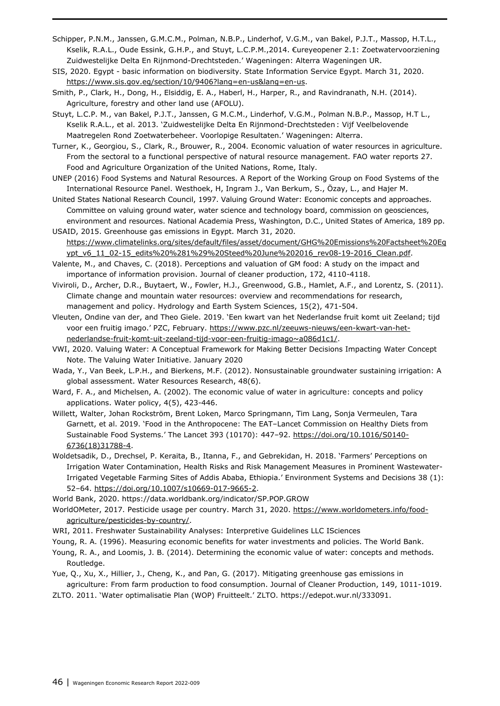- Schipper, P.N.M., Janssen, G.M.C.M., Polman, N.B.P., Linderhof, V.G.M., van Bakel, P.J.T., Massop, H.T.L., Kselik, R.A.L., Oude Essink, G.H.P., and Stuyt, L.C.P.M.,2014. €ureyeopener 2.1: Zoetwatervoorziening Zuidwestelijke Delta En Rijnmond-Drechtsteden.' Wageningen: Alterra Wageningen UR.
- SIS, 2020. Egypt basic information on biodiversity. State Information Service Egypt. March 31, 2020. [https://www.sis.gov.eg/section/10/9406?lang=en-us&lang=en-us.](https://www.sis.gov.eg/section/10/9406?lang=en-us&lang=en-us)
- Smith, P., Clark, H., Dong, H., Elsiddig, E. A., Haberl, H., Harper, R., and Ravindranath, N.H. (2014). Agriculture, forestry and other land use (AFOLU).
- Stuyt, L.C.P. M., van Bakel, P.J.T., Janssen, G M.C.M., Linderhof, V.G.M., Polman N.B.P., Massop, H.T L., Kselik R.A.L., et al. 2013. 'Zuidwestelijke Delta En Rijnmond-Drechtsteden : Vijf Veelbelovende Maatregelen Rond Zoetwaterbeheer. Voorlopige Resultaten.' Wageningen: Alterra.
- Turner, K., Georgiou, S., Clark, R., Brouwer, R., 2004. Economic valuation of water resources in agriculture. From the sectoral to a functional perspective of natural resource management. FAO water reports 27. Food and Agriculture Organization of the United Nations, Rome, Italy.
- UNEP (2016) Food Systems and Natural Resources. A Report of the Working Group on Food Systems of the International Resource Panel. Westhoek, H, Ingram J., Van Berkum, S., Özay, L., and Hajer M.
- United States National Research Council, 1997. Valuing Ground Water: Economic concepts and approaches. Committee on valuing ground water, water science and technology board, commission on geosciences, environment and resources. National Academia Press, Washington, D.C., United States of America, 189 pp.
- USAID, 2015. Greenhouse gas emissions in Egypt. March 31, 2020. [https://www.climatelinks.org/sites/default/files/asset/document/GHG%20Emissions%20Factsheet%20Eg](https://www.climatelinks.org/sites/default/files/asset/document/GHG%20Emissions%20Factsheet%20Egypt_v6_11_02-15_edits%20%281%29%20Steed%20June%202016_rev08-19-2016_Clean.pdf) [ypt\\_v6\\_11\\_02-15\\_edits%20%281%29%20Steed%20June%202016\\_rev08-19-2016\\_Clean.pdf.](https://www.climatelinks.org/sites/default/files/asset/document/GHG%20Emissions%20Factsheet%20Egypt_v6_11_02-15_edits%20%281%29%20Steed%20June%202016_rev08-19-2016_Clean.pdf)
- Valente, M., and Chaves, C. (2018). Perceptions and valuation of GM food: A study on the impact and importance of information provision. Journal of cleaner production, 172, 4110-4118.
- Viviroli, D., Archer, D.R., Buytaert, W., Fowler, H.J., Greenwood, G.B., Hamlet, A.F., and Lorentz, S. (2011). Climate change and mountain water resources: overview and recommendations for research, management and policy. Hydrology and Earth System Sciences, 15(2), 471-504.
- Vleuten, Ondine van der, and Theo Giele. 2019. 'Een kwart van het Nederlandse fruit komt uit Zeeland; tijd voor een fruitig imago.' PZC, February. [https://www.pzc.nl/zeeuws-nieuws/een-kwart-van-het](https://www.pzc.nl/zeeuws-nieuws/een-kwart-van-het-nederlandse-fruit-komt-uit-zeeland-tijd-voor-een-fruitig-imago~a086d1c1/)[nederlandse-fruit-komt-uit-zeeland-tijd-voor-een-fruitig-imago~a086d1c1/.](https://www.pzc.nl/zeeuws-nieuws/een-kwart-van-het-nederlandse-fruit-komt-uit-zeeland-tijd-voor-een-fruitig-imago~a086d1c1/)
- VWI, 2020. Valuing Water: A Conceptual Framework for Making Better Decisions Impacting Water Concept Note. The Valuing Water Initiative. January 2020
- Wada, Y., Van Beek, L.P.H., and Bierkens, M.F. (2012). Nonsustainable groundwater sustaining irrigation: A global assessment. Water Resources Research, 48(6).
- Ward, F. A., and Michelsen, A. (2002). The economic value of water in agriculture: concepts and policy applications. Water policy, 4(5), 423-446.
- Willett, Walter, Johan Rockström, Brent Loken, Marco Springmann, Tim Lang, Sonja Vermeulen, Tara Garnett, et al. 2019. 'Food in the Anthropocene: The EAT–Lancet Commission on Healthy Diets from Sustainable Food Systems.' The Lancet 393 (10170): 447–92. [https://doi.org/10.1016/S0140-](https://doi.org/10.1016/S0140-6736(18)31788-4) [6736\(18\)31788-4.](https://doi.org/10.1016/S0140-6736(18)31788-4)
- Woldetsadik, D., Drechsel, P. Keraita, B., Itanna, F., and Gebrekidan, H. 2018. 'Farmers' Perceptions on Irrigation Water Contamination, Health Risks and Risk Management Measures in Prominent Wastewater-Irrigated Vegetable Farming Sites of Addis Ababa, Ethiopia.' Environment Systems and Decisions 38 (1): 52–64. [https://doi.org/10.1007/s10669-017-9665-2.](https://doi.org/10.1007/s10669-017-9665-2)
- World Bank, 2020. https://data.worldbank.org/indicator/SP.POP.GROW
- WorldOMeter, 2017. Pesticide usage per country. March 31, 2020. [https://www.worldometers.info/food](https://www.worldometers.info/food-agriculture/pesticides-by-country/)[agriculture/pesticides-by-country/.](https://www.worldometers.info/food-agriculture/pesticides-by-country/)
- WRI, 2011. Freshwater Sustainability Analyses: Interpretive Guidelines LLC ISciences
- Young, R. A. (1996). Measuring economic benefits for water investments and policies. The World Bank.
- Young, R. A., and Loomis, J. B. (2014). Determining the economic value of water: concepts and methods. Routledge.
- Yue, Q., Xu, X., Hillier, J., Cheng, K., and Pan, G. (2017). Mitigating greenhouse gas emissions in agriculture: From farm production to food consumption. Journal of Cleaner Production, 149, 1011-1019.
- ZLTO. 2011. 'Water optimalisatie Plan (WOP) Fruitteelt.' ZLTO. https://edepot.wur.nl/333091.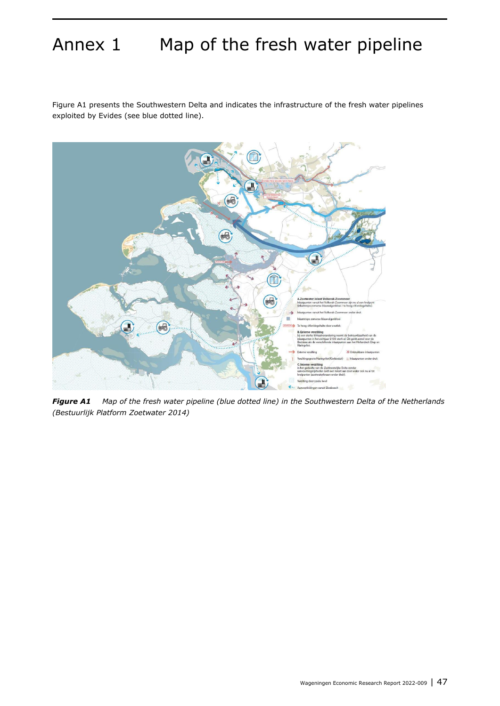# <span id="page-46-0"></span>Annex 1 Map of the fresh water pipeline

Figure A1 presents the Southwestern Delta and indicates the infrastructure of the fresh water pipelines exploited by Evides (see blue dotted line).

![](_page_46_Figure_2.jpeg)

*Figure A1 Map of the fresh water pipeline (blue dotted line) in the Southwestern Delta of the Netherlands (Bestuurlijk Platform Zoetwater 2014)*